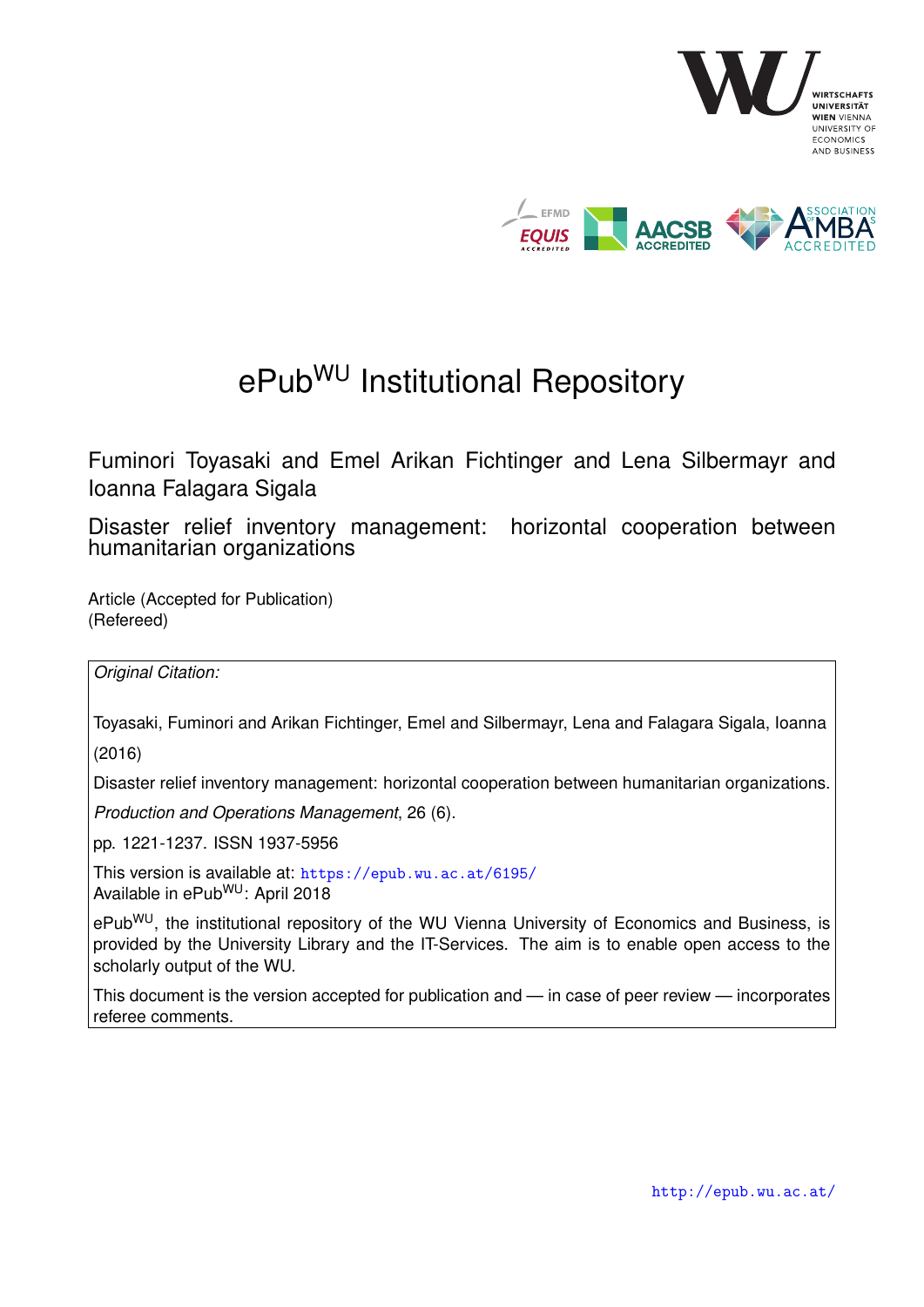

# ePub<sup>WU</sup> Institutional Repository

Fuminori Toyasaki and Emel Arikan Fichtinger and Lena Silbermayr and Ioanna Falagara Sigala

Disaster relief inventory management: horizontal cooperation between humanitarian organizations

Article (Accepted for Publication) (Refereed)

*Original Citation:*

Toyasaki, Fuminori and Arikan Fichtinger, Emel and Silbermayr, Lena and Falagara Sigala, Ioanna (2016)

Disaster relief inventory management: horizontal cooperation between humanitarian organizations.

*Production and Operations Management*, 26 (6).

pp. 1221-1237. ISSN 1937-5956

This version is available at: <https://epub.wu.ac.at/6195/> Available in ePubWU: April 2018

ePub<sup>WU</sup>, the institutional repository of the WU Vienna University of Economics and Business, is provided by the University Library and the IT-Services. The aim is to enable open access to the scholarly output of the WU.

This document is the version accepted for publication and — in case of peer review — incorporates referee comments.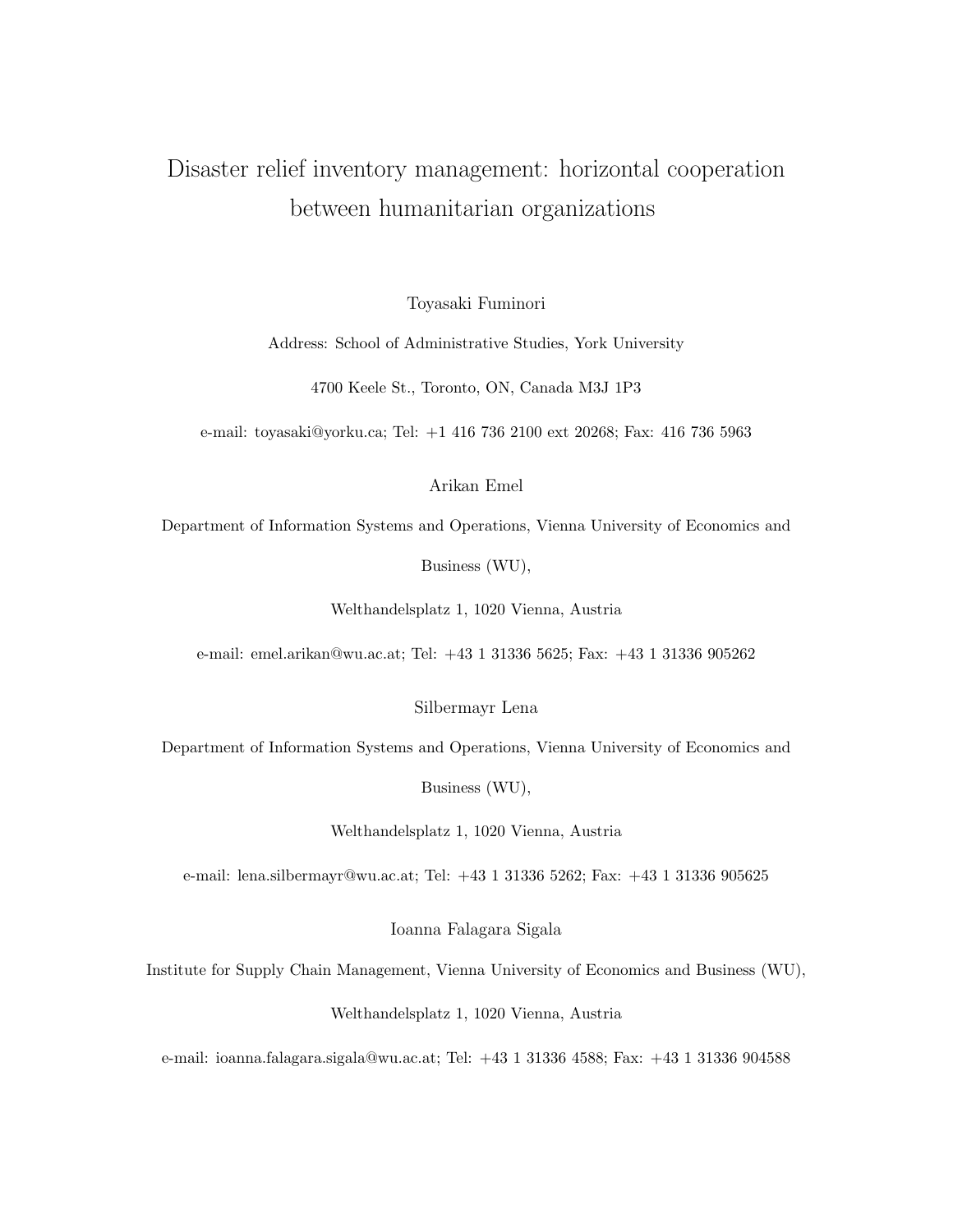# Disaster relief inventory management: horizontal cooperation between humanitarian organizations

Toyasaki Fuminori

Address: School of Administrative Studies, York University

4700 Keele St., Toronto, ON, Canada M3J 1P3

e-mail: toyasaki@yorku.ca; Tel: +1 416 736 2100 ext 20268; Fax: 416 736 5963

Arikan Emel

Department of Information Systems and Operations, Vienna University of Economics and

Business (WU),

Welthandelsplatz 1, 1020 Vienna, Austria

e-mail: emel.arikan@wu.ac.at; Tel: +43 1 31336 5625; Fax: +43 1 31336 905262

Silbermayr Lena

Department of Information Systems and Operations, Vienna University of Economics and

Business (WU),

Welthandelsplatz 1, 1020 Vienna, Austria

e-mail: lena.silbermayr@wu.ac.at; Tel: +43 1 31336 5262; Fax: +43 1 31336 905625

Ioanna Falagara Sigala

Institute for Supply Chain Management, Vienna University of Economics and Business (WU),

Welthandelsplatz 1, 1020 Vienna, Austria

e-mail: ioanna.falagara.sigala@wu.ac.at; Tel: +43 1 31336 4588; Fax: +43 1 31336 904588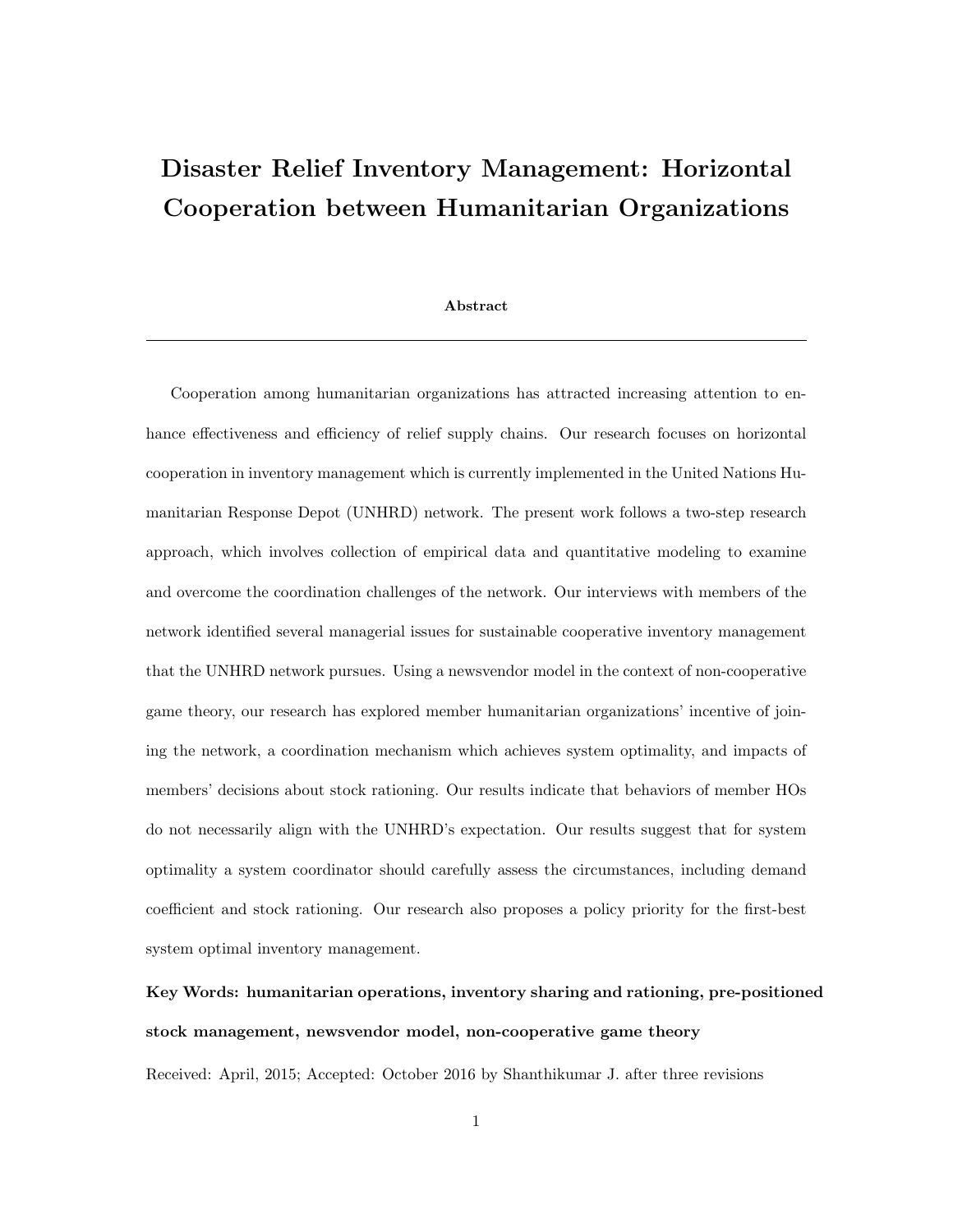# Disaster Relief Inventory Management: Horizontal Cooperation between Humanitarian Organizations

#### Abstract

Cooperation among humanitarian organizations has attracted increasing attention to enhance effectiveness and efficiency of relief supply chains. Our research focuses on horizontal cooperation in inventory management which is currently implemented in the United Nations Humanitarian Response Depot (UNHRD) network. The present work follows a two-step research approach, which involves collection of empirical data and quantitative modeling to examine and overcome the coordination challenges of the network. Our interviews with members of the network identified several managerial issues for sustainable cooperative inventory management that the UNHRD network pursues. Using a newsvendor model in the context of non-cooperative game theory, our research has explored member humanitarian organizations' incentive of joining the network, a coordination mechanism which achieves system optimality, and impacts of members' decisions about stock rationing. Our results indicate that behaviors of member HOs do not necessarily align with the UNHRD's expectation. Our results suggest that for system optimality a system coordinator should carefully assess the circumstances, including demand coefficient and stock rationing. Our research also proposes a policy priority for the first-best system optimal inventory management.

# Key Words: humanitarian operations, inventory sharing and rationing, pre-positioned stock management, newsvendor model, non-cooperative game theory

Received: April, 2015; Accepted: October 2016 by Shanthikumar J. after three revisions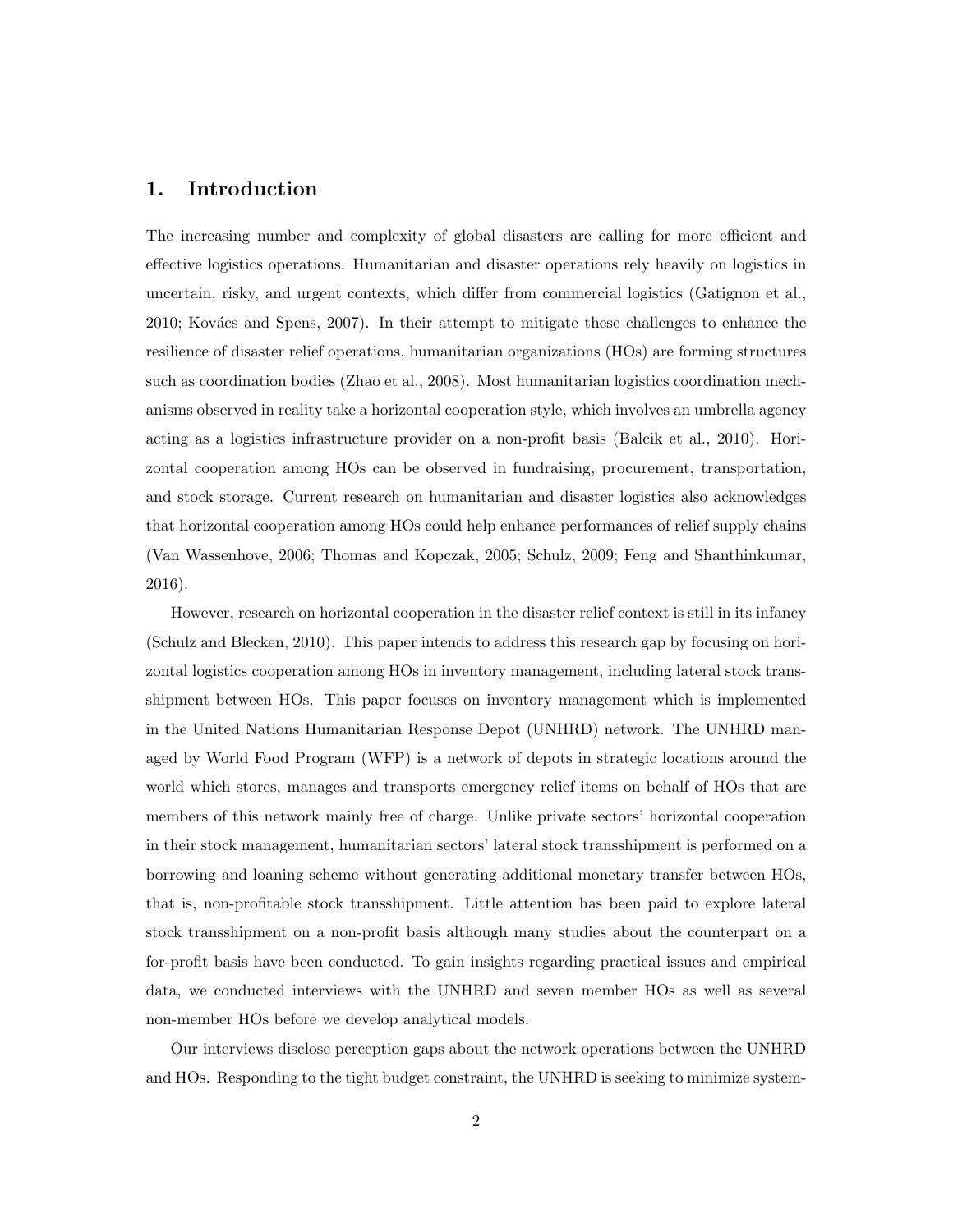### 1. Introduction

The increasing number and complexity of global disasters are calling for more efficient and effective logistics operations. Humanitarian and disaster operations rely heavily on logistics in uncertain, risky, and urgent contexts, which differ from commercial logistics (Gatignon et al., 2010; Kovács and Spens, 2007). In their attempt to mitigate these challenges to enhance the resilience of disaster relief operations, humanitarian organizations (HOs) are forming structures such as coordination bodies (Zhao et al., 2008). Most humanitarian logistics coordination mechanisms observed in reality take a horizontal cooperation style, which involves an umbrella agency acting as a logistics infrastructure provider on a non-profit basis (Balcik et al., 2010). Horizontal cooperation among HOs can be observed in fundraising, procurement, transportation, and stock storage. Current research on humanitarian and disaster logistics also acknowledges that horizontal cooperation among HOs could help enhance performances of relief supply chains (Van Wassenhove, 2006; Thomas and Kopczak, 2005; Schulz, 2009; Feng and Shanthinkumar, 2016).

However, research on horizontal cooperation in the disaster relief context is still in its infancy (Schulz and Blecken, 2010). This paper intends to address this research gap by focusing on horizontal logistics cooperation among HOs in inventory management, including lateral stock transshipment between HOs. This paper focuses on inventory management which is implemented in the United Nations Humanitarian Response Depot (UNHRD) network. The UNHRD managed by World Food Program (WFP) is a network of depots in strategic locations around the world which stores, manages and transports emergency relief items on behalf of HOs that are members of this network mainly free of charge. Unlike private sectors' horizontal cooperation in their stock management, humanitarian sectors' lateral stock transshipment is performed on a borrowing and loaning scheme without generating additional monetary transfer between HOs, that is, non-profitable stock transshipment. Little attention has been paid to explore lateral stock transshipment on a non-profit basis although many studies about the counterpart on a for-profit basis have been conducted. To gain insights regarding practical issues and empirical data, we conducted interviews with the UNHRD and seven member HOs as well as several non-member HOs before we develop analytical models.

Our interviews disclose perception gaps about the network operations between the UNHRD and HOs. Responding to the tight budget constraint, the UNHRD is seeking to minimize system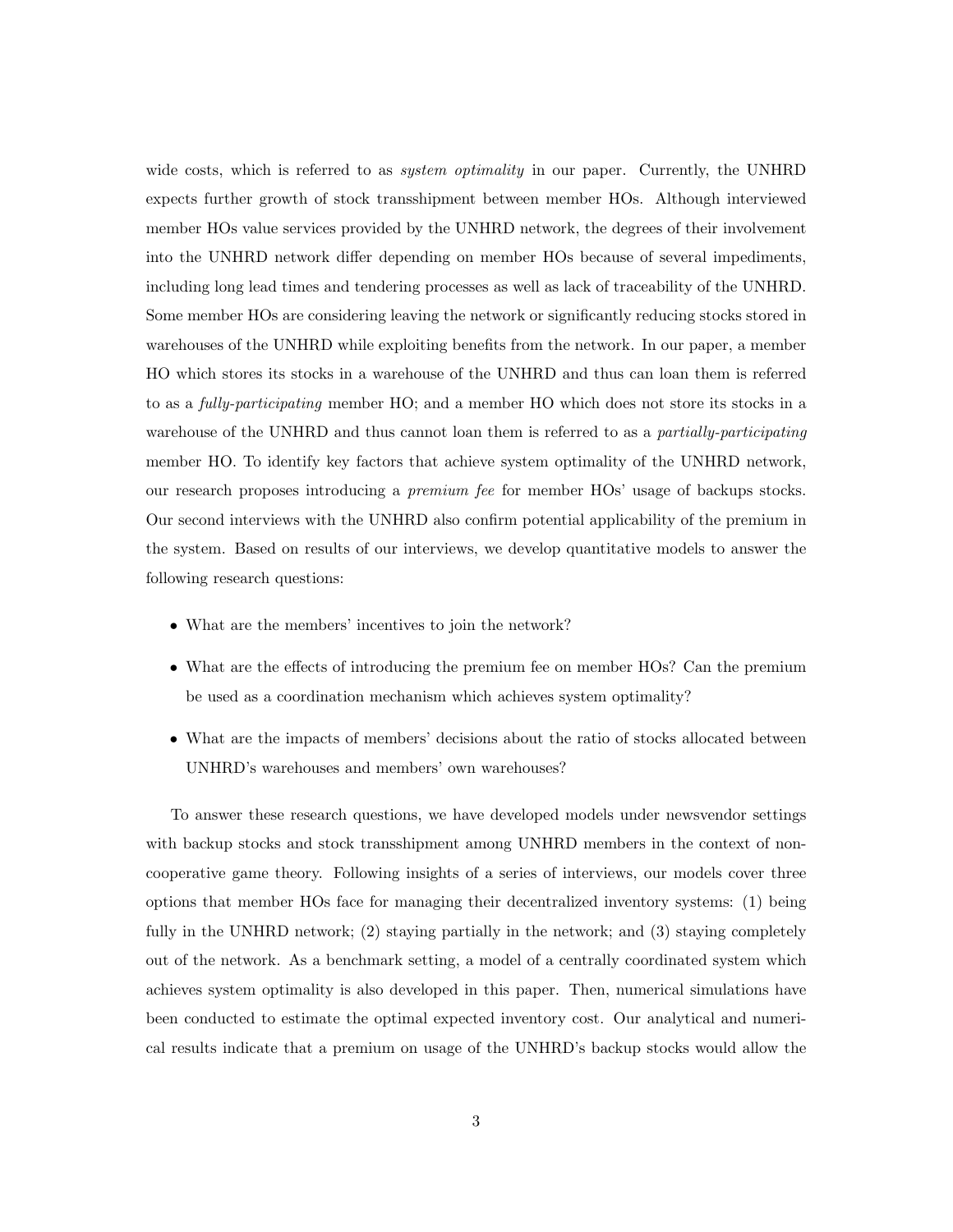wide costs, which is referred to as *system optimality* in our paper. Currently, the UNHRD expects further growth of stock transshipment between member HOs. Although interviewed member HOs value services provided by the UNHRD network, the degrees of their involvement into the UNHRD network differ depending on member HOs because of several impediments, including long lead times and tendering processes as well as lack of traceability of the UNHRD. Some member HOs are considering leaving the network or significantly reducing stocks stored in warehouses of the UNHRD while exploiting benefits from the network. In our paper, a member HO which stores its stocks in a warehouse of the UNHRD and thus can loan them is referred to as a *fully-participating* member HO; and a member HO which does not store its stocks in a warehouse of the UNHRD and thus cannot loan them is referred to as a *partially-participating* member HO. To identify key factors that achieve system optimality of the UNHRD network, our research proposes introducing a *premium fee* for member HOs' usage of backups stocks. Our second interviews with the UNHRD also confirm potential applicability of the premium in the system. Based on results of our interviews, we develop quantitative models to answer the following research questions:

- *•* What are the members' incentives to join the network?
- What are the effects of introducing the premium fee on member HOs? Can the premium be used as a coordination mechanism which achieves system optimality?
- What are the impacts of members' decisions about the ratio of stocks allocated between UNHRD's warehouses and members' own warehouses?

To answer these research questions, we have developed models under newsvendor settings with backup stocks and stock transshipment among UNHRD members in the context of noncooperative game theory. Following insights of a series of interviews, our models cover three options that member HOs face for managing their decentralized inventory systems: (1) being fully in the UNHRD network; (2) staying partially in the network; and (3) staying completely out of the network. As a benchmark setting, a model of a centrally coordinated system which achieves system optimality is also developed in this paper. Then, numerical simulations have been conducted to estimate the optimal expected inventory cost. Our analytical and numerical results indicate that a premium on usage of the UNHRD's backup stocks would allow the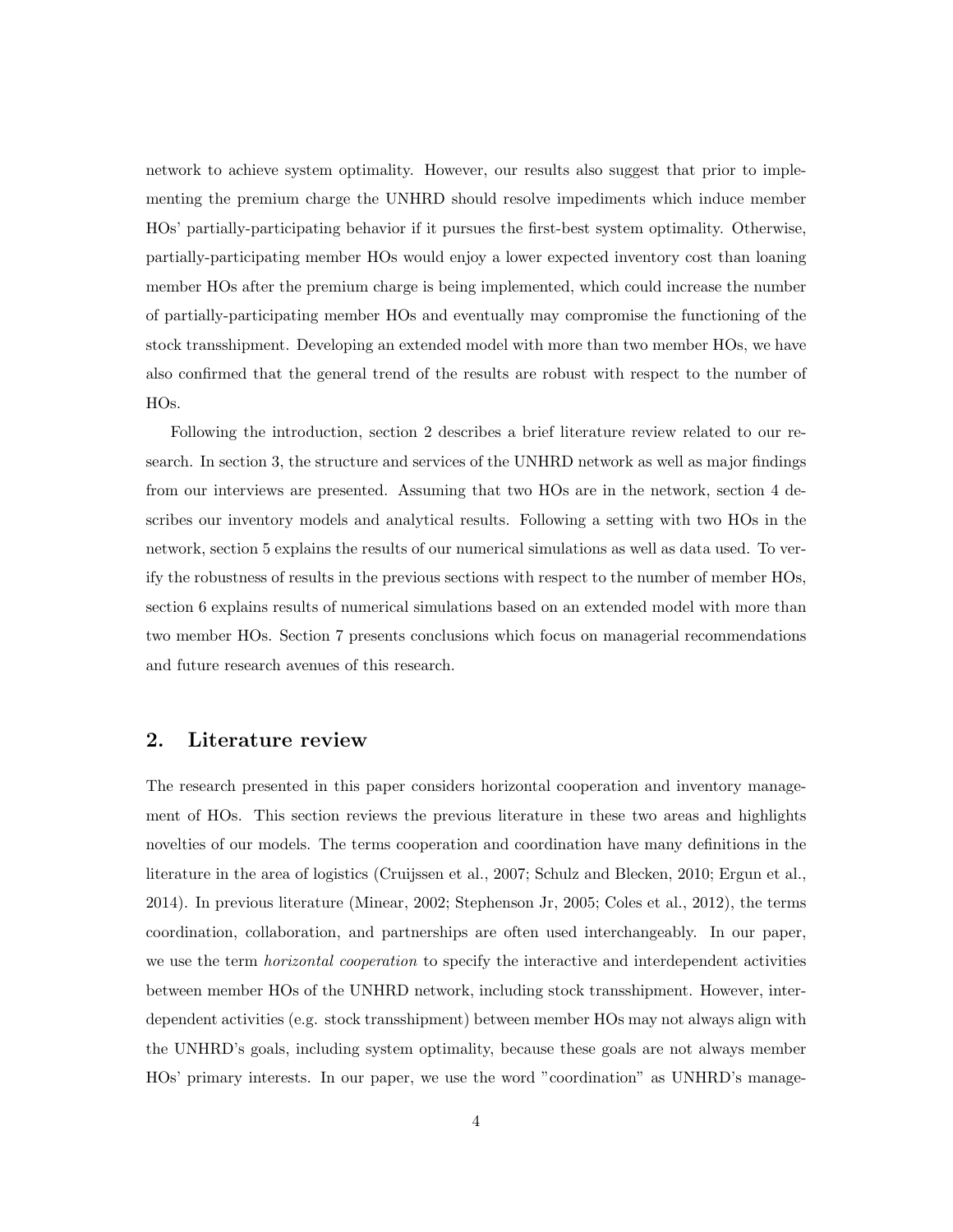network to achieve system optimality. However, our results also suggest that prior to implementing the premium charge the UNHRD should resolve impediments which induce member HOs' partially-participating behavior if it pursues the first-best system optimality. Otherwise, partially-participating member HOs would enjoy a lower expected inventory cost than loaning member HOs after the premium charge is being implemented, which could increase the number of partially-participating member HOs and eventually may compromise the functioning of the stock transshipment. Developing an extended model with more than two member HOs, we have also confirmed that the general trend of the results are robust with respect to the number of HOs.

Following the introduction, section 2 describes a brief literature review related to our research. In section 3, the structure and services of the UNHRD network as well as major findings from our interviews are presented. Assuming that two HOs are in the network, section 4 describes our inventory models and analytical results. Following a setting with two HOs in the network, section 5 explains the results of our numerical simulations as well as data used. To verify the robustness of results in the previous sections with respect to the number of member HOs, section 6 explains results of numerical simulations based on an extended model with more than two member HOs. Section 7 presents conclusions which focus on managerial recommendations and future research avenues of this research.

# 2. Literature review

The research presented in this paper considers horizontal cooperation and inventory management of HOs. This section reviews the previous literature in these two areas and highlights novelties of our models. The terms cooperation and coordination have many definitions in the literature in the area of logistics (Cruijssen et al., 2007; Schulz and Blecken, 2010; Ergun et al., 2014). In previous literature (Minear, 2002; Stephenson Jr, 2005; Coles et al., 2012), the terms coordination, collaboration, and partnerships are often used interchangeably. In our paper, we use the term *horizontal cooperation* to specify the interactive and interdependent activities between member HOs of the UNHRD network, including stock transshipment. However, interdependent activities (e.g. stock transshipment) between member HOs may not always align with the UNHRD's goals, including system optimality, because these goals are not always member HOs' primary interests. In our paper, we use the word "coordination" as UNHRD's manage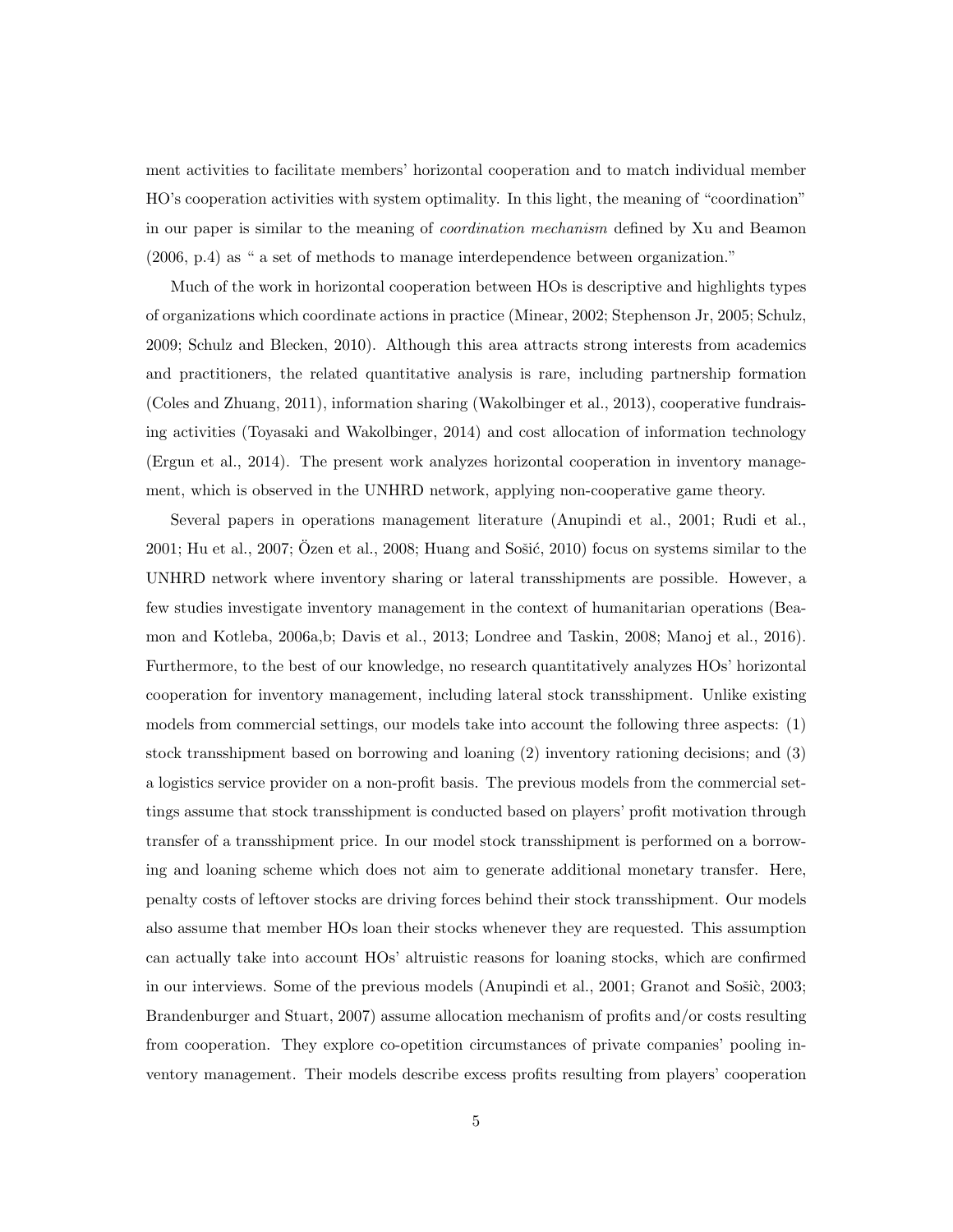ment activities to facilitate members' horizontal cooperation and to match individual member HO's cooperation activities with system optimality. In this light, the meaning of "coordination" in our paper is similar to the meaning of *coordination mechanism* defined by Xu and Beamon (2006, p.4) as " a set of methods to manage interdependence between organization."

Much of the work in horizontal cooperation between HOs is descriptive and highlights types of organizations which coordinate actions in practice (Minear, 2002; Stephenson Jr, 2005; Schulz, 2009; Schulz and Blecken, 2010). Although this area attracts strong interests from academics and practitioners, the related quantitative analysis is rare, including partnership formation (Coles and Zhuang, 2011), information sharing (Wakolbinger et al., 2013), cooperative fundraising activities (Toyasaki and Wakolbinger, 2014) and cost allocation of information technology (Ergun et al., 2014). The present work analyzes horizontal cooperation in inventory management, which is observed in the UNHRD network, applying non-cooperative game theory.

Several papers in operations management literature (Anupindi et al., 2001; Rudi et al.,  $2001$ ; Hu et al.,  $2007$ ; Ozen et al.,  $2008$ ; Huang and Sosić,  $2010$ ) focus on systems similar to the UNHRD network where inventory sharing or lateral transshipments are possible. However, a few studies investigate inventory management in the context of humanitarian operations (Beamon and Kotleba, 2006a,b; Davis et al., 2013; Londree and Taskin, 2008; Manoj et al., 2016). Furthermore, to the best of our knowledge, no research quantitatively analyzes HOs' horizontal cooperation for inventory management, including lateral stock transshipment. Unlike existing models from commercial settings, our models take into account the following three aspects: (1) stock transshipment based on borrowing and loaning (2) inventory rationing decisions; and (3) a logistics service provider on a non-profit basis. The previous models from the commercial settings assume that stock transshipment is conducted based on players' profit motivation through transfer of a transshipment price. In our model stock transshipment is performed on a borrowing and loaning scheme which does not aim to generate additional monetary transfer. Here, penalty costs of leftover stocks are driving forces behind their stock transshipment. Our models also assume that member HOs loan their stocks whenever they are requested. This assumption can actually take into account HOs' altruistic reasons for loaning stocks, which are confirmed in our interviews. Some of the previous models (Anupindi et al., 2001; Granot and Sošic, 2003; Brandenburger and Stuart, 2007) assume allocation mechanism of profits and/or costs resulting from cooperation. They explore co-opetition circumstances of private companies' pooling inventory management. Their models describe excess profits resulting from players' cooperation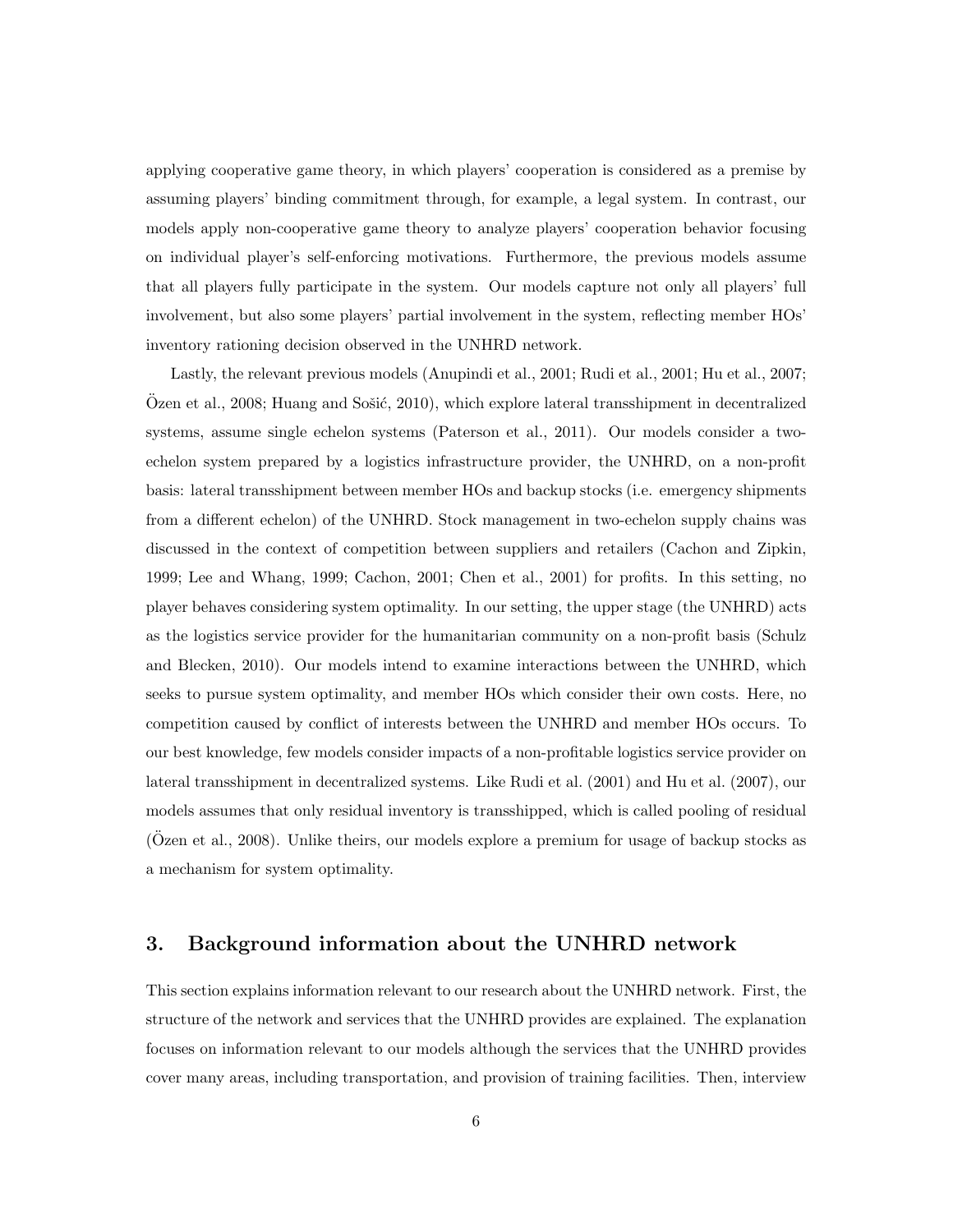applying cooperative game theory, in which players' cooperation is considered as a premise by assuming players' binding commitment through, for example, a legal system. In contrast, our models apply non-cooperative game theory to analyze players' cooperation behavior focusing on individual player's self-enforcing motivations. Furthermore, the previous models assume that all players fully participate in the system. Our models capture not only all players' full involvement, but also some players' partial involvement in the system, reflecting member HOs' inventory rationing decision observed in the UNHRD network.

Lastly, the relevant previous models (Anupindi et al., 2001; Rudi et al., 2001; Hu et al., 2007;  $O$ zen et al., 2008; Huang and Sošić, 2010), which explore lateral transshipment in decentralized systems, assume single echelon systems (Paterson et al., 2011). Our models consider a twoechelon system prepared by a logistics infrastructure provider, the UNHRD, on a non-profit basis: lateral transshipment between member HOs and backup stocks (i.e. emergency shipments from a different echelon) of the UNHRD. Stock management in two-echelon supply chains was discussed in the context of competition between suppliers and retailers (Cachon and Zipkin, 1999; Lee and Whang, 1999; Cachon, 2001; Chen et al., 2001) for profits. In this setting, no player behaves considering system optimality. In our setting, the upper stage (the UNHRD) acts as the logistics service provider for the humanitarian community on a non-profit basis (Schulz and Blecken, 2010). Our models intend to examine interactions between the UNHRD, which seeks to pursue system optimality, and member HOs which consider their own costs. Here, no competition caused by conflict of interests between the UNHRD and member HOs occurs. To our best knowledge, few models consider impacts of a non-profitable logistics service provider on lateral transshipment in decentralized systems. Like Rudi et al. (2001) and Hu et al. (2007), our models assumes that only residual inventory is transshipped, which is called pooling of residual (Ozen et al., 2008). Unlike theirs, our models explore a premium for usage of backup stocks as a mechanism for system optimality.

# 3. Background information about the UNHRD network

This section explains information relevant to our research about the UNHRD network. First, the structure of the network and services that the UNHRD provides are explained. The explanation focuses on information relevant to our models although the services that the UNHRD provides cover many areas, including transportation, and provision of training facilities. Then, interview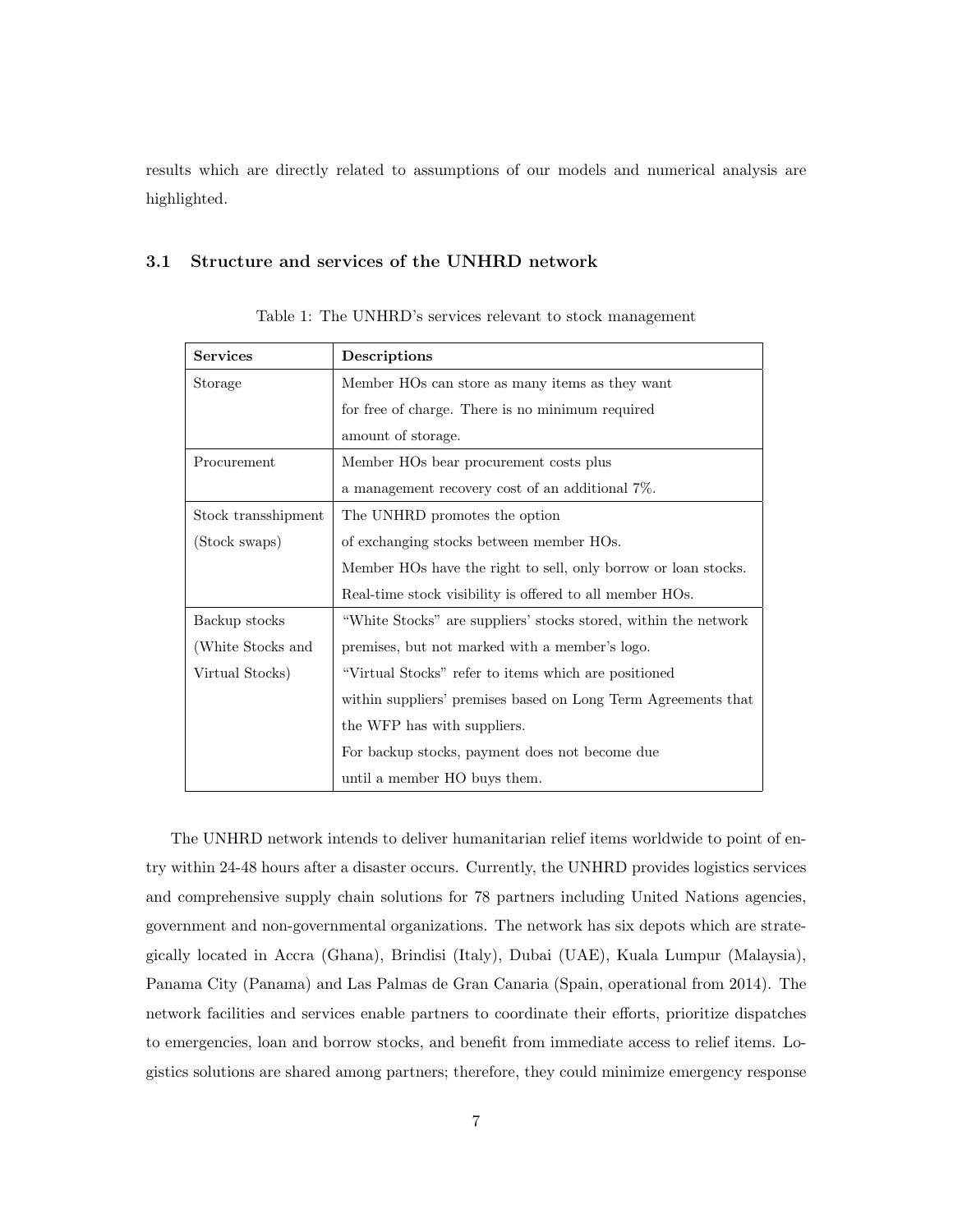results which are directly related to assumptions of our models and numerical analysis are highlighted.

#### 3.1 Structure and services of the UNHRD network

| <b>Services</b>     | Descriptions                                                    |  |  |  |  |
|---------------------|-----------------------------------------------------------------|--|--|--|--|
| Storage             | Member HOs can store as many items as they want                 |  |  |  |  |
|                     | for free of charge. There is no minimum required                |  |  |  |  |
|                     | amount of storage.                                              |  |  |  |  |
| Procurement         | Member HOs bear procurement costs plus                          |  |  |  |  |
|                     | a management recovery cost of an additional 7%.                 |  |  |  |  |
| Stock transshipment | The UNHRD promotes the option                                   |  |  |  |  |
| (Stock swaps)       | of exchanging stocks between member HOs.                        |  |  |  |  |
|                     | Member HOs have the right to sell, only borrow or loan stocks.  |  |  |  |  |
|                     | Real-time stock visibility is offered to all member HOs.        |  |  |  |  |
| Backup stocks       | "White Stocks" are suppliers' stocks stored, within the network |  |  |  |  |
| (White Stocks and   | premises, but not marked with a member's logo.                  |  |  |  |  |
| Virtual Stocks)     | "Virtual Stocks" refer to items which are positioned            |  |  |  |  |
|                     | within suppliers' premises based on Long Term Agreements that   |  |  |  |  |
|                     | the WFP has with suppliers.                                     |  |  |  |  |
|                     | For backup stocks, payment does not become due                  |  |  |  |  |
|                     | until a member HO buys them.                                    |  |  |  |  |

Table 1: The UNHRD's services relevant to stock management

The UNHRD network intends to deliver humanitarian relief items worldwide to point of entry within 24-48 hours after a disaster occurs. Currently, the UNHRD provides logistics services and comprehensive supply chain solutions for 78 partners including United Nations agencies, government and non-governmental organizations. The network has six depots which are strategically located in Accra (Ghana), Brindisi (Italy), Dubai (UAE), Kuala Lumpur (Malaysia), Panama City (Panama) and Las Palmas de Gran Canaria (Spain, operational from 2014). The network facilities and services enable partners to coordinate their efforts, prioritize dispatches to emergencies, loan and borrow stocks, and benefit from immediate access to relief items. Logistics solutions are shared among partners; therefore, they could minimize emergency response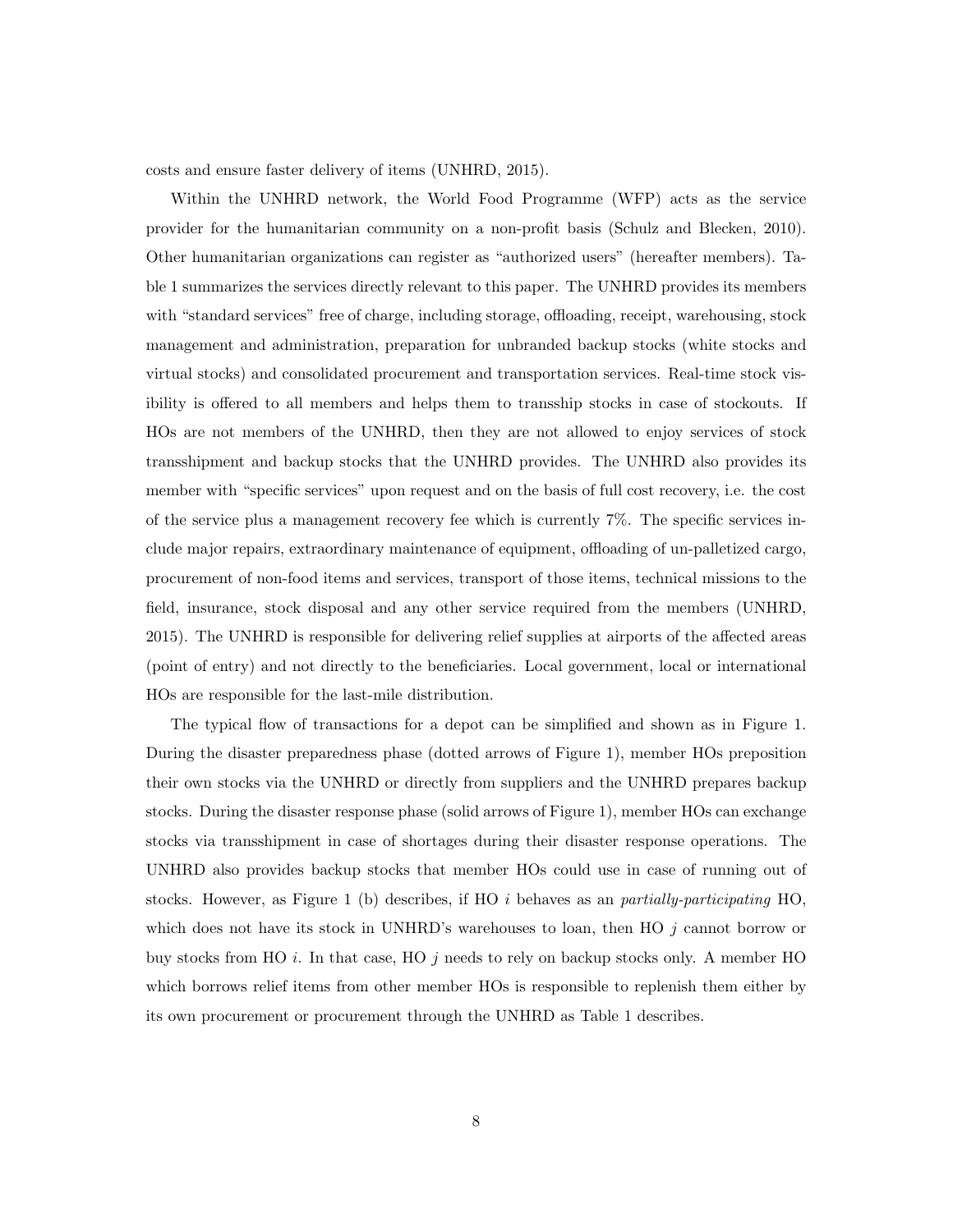costs and ensure faster delivery of items (UNHRD, 2015).

Within the UNHRD network, the World Food Programme (WFP) acts as the service provider for the humanitarian community on a non-profit basis (Schulz and Blecken, 2010). Other humanitarian organizations can register as "authorized users" (hereafter members). Table 1 summarizes the services directly relevant to this paper. The UNHRD provides its members with "standard services" free of charge, including storage, offloading, receipt, warehousing, stock management and administration, preparation for unbranded backup stocks (white stocks and virtual stocks) and consolidated procurement and transportation services. Real-time stock visibility is offered to all members and helps them to transship stocks in case of stockouts. If HOs are not members of the UNHRD, then they are not allowed to enjoy services of stock transshipment and backup stocks that the UNHRD provides. The UNHRD also provides its member with "specific services" upon request and on the basis of full cost recovery, i.e. the cost of the service plus a management recovery fee which is currently 7%. The specific services include major repairs, extraordinary maintenance of equipment, offloading of un-palletized cargo, procurement of non-food items and services, transport of those items, technical missions to the field, insurance, stock disposal and any other service required from the members (UNHRD, 2015). The UNHRD is responsible for delivering relief supplies at airports of the affected areas (point of entry) and not directly to the beneficiaries. Local government, local or international HOs are responsible for the last-mile distribution.

The typical flow of transactions for a depot can be simplified and shown as in Figure 1. During the disaster preparedness phase (dotted arrows of Figure 1), member HOs preposition their own stocks via the UNHRD or directly from suppliers and the UNHRD prepares backup stocks. During the disaster response phase (solid arrows of Figure 1), member HOs can exchange stocks via transshipment in case of shortages during their disaster response operations. The UNHRD also provides backup stocks that member HOs could use in case of running out of stocks. However, as Figure 1 (b) describes, if HO *i* behaves as an *partially-participating* HO, which does not have its stock in UNHRD's warehouses to loan, then HO *j* cannot borrow or buy stocks from HO *i*. In that case, HO *j* needs to rely on backup stocks only. A member HO which borrows relief items from other member HOs is responsible to replenish them either by its own procurement or procurement through the UNHRD as Table 1 describes.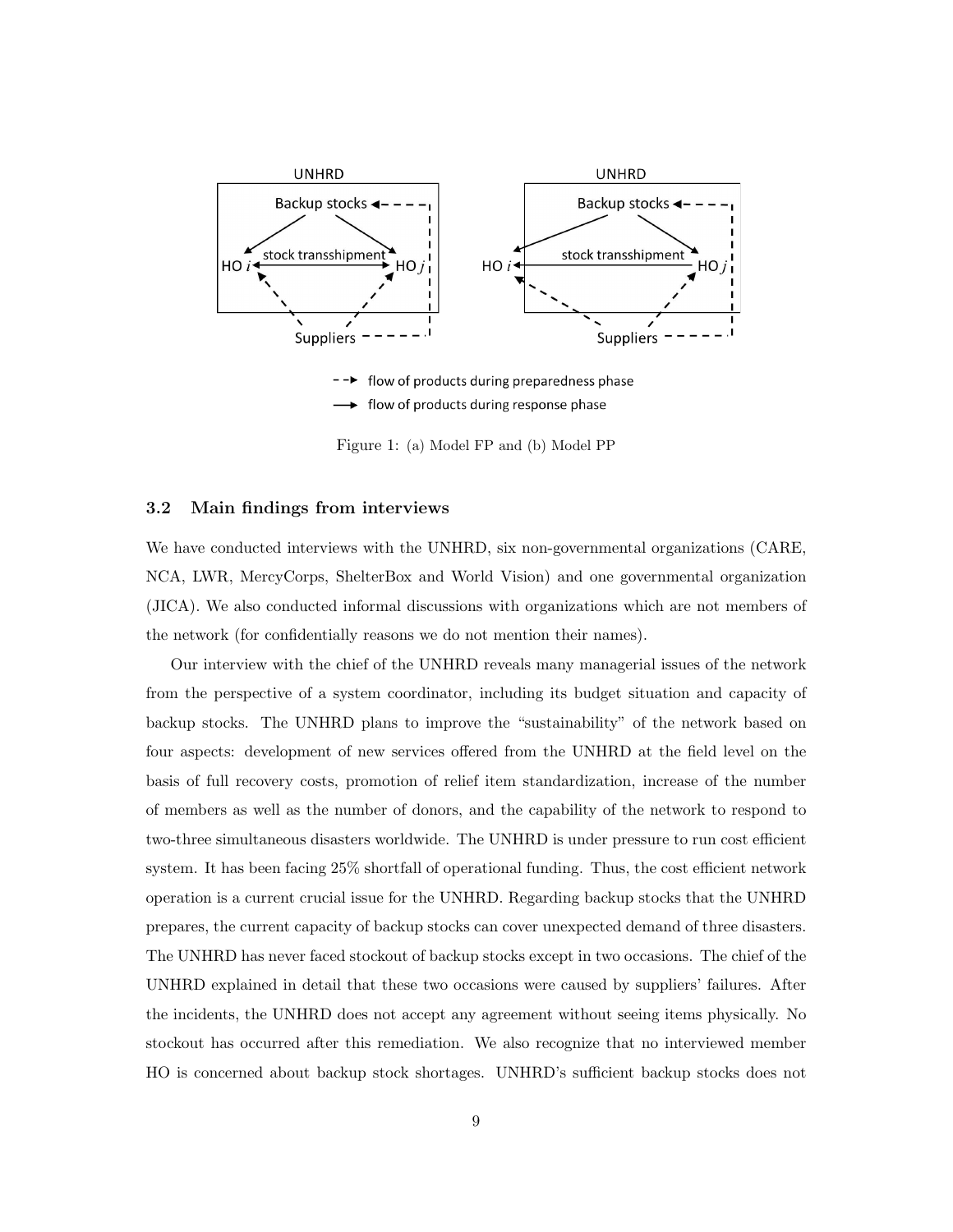

flow of products during preparedness phase flow of products during response phase

Figure 1: (a) Model FP and (b) Model PP

#### 3.2 Main findings from interviews

We have conducted interviews with the UNHRD, six non-governmental organizations (CARE, NCA, LWR, MercyCorps, ShelterBox and World Vision) and one governmental organization (JICA). We also conducted informal discussions with organizations which are not members of the network (for confidentially reasons we do not mention their names).

Our interview with the chief of the UNHRD reveals many managerial issues of the network from the perspective of a system coordinator, including its budget situation and capacity of backup stocks. The UNHRD plans to improve the "sustainability" of the network based on four aspects: development of new services offered from the UNHRD at the field level on the basis of full recovery costs, promotion of relief item standardization, increase of the number of members as well as the number of donors, and the capability of the network to respond to two-three simultaneous disasters worldwide. The UNHRD is under pressure to run cost efficient system. It has been facing  $25\%$  shortfall of operational funding. Thus, the cost efficient network operation is a current crucial issue for the UNHRD. Regarding backup stocks that the UNHRD prepares, the current capacity of backup stocks can cover unexpected demand of three disasters. The UNHRD has never faced stockout of backup stocks except in two occasions. The chief of the UNHRD explained in detail that these two occasions were caused by suppliers' failures. After the incidents, the UNHRD does not accept any agreement without seeing items physically. No stockout has occurred after this remediation. We also recognize that no interviewed member HO is concerned about backup stock shortages. UNHRD's sufficient backup stocks does not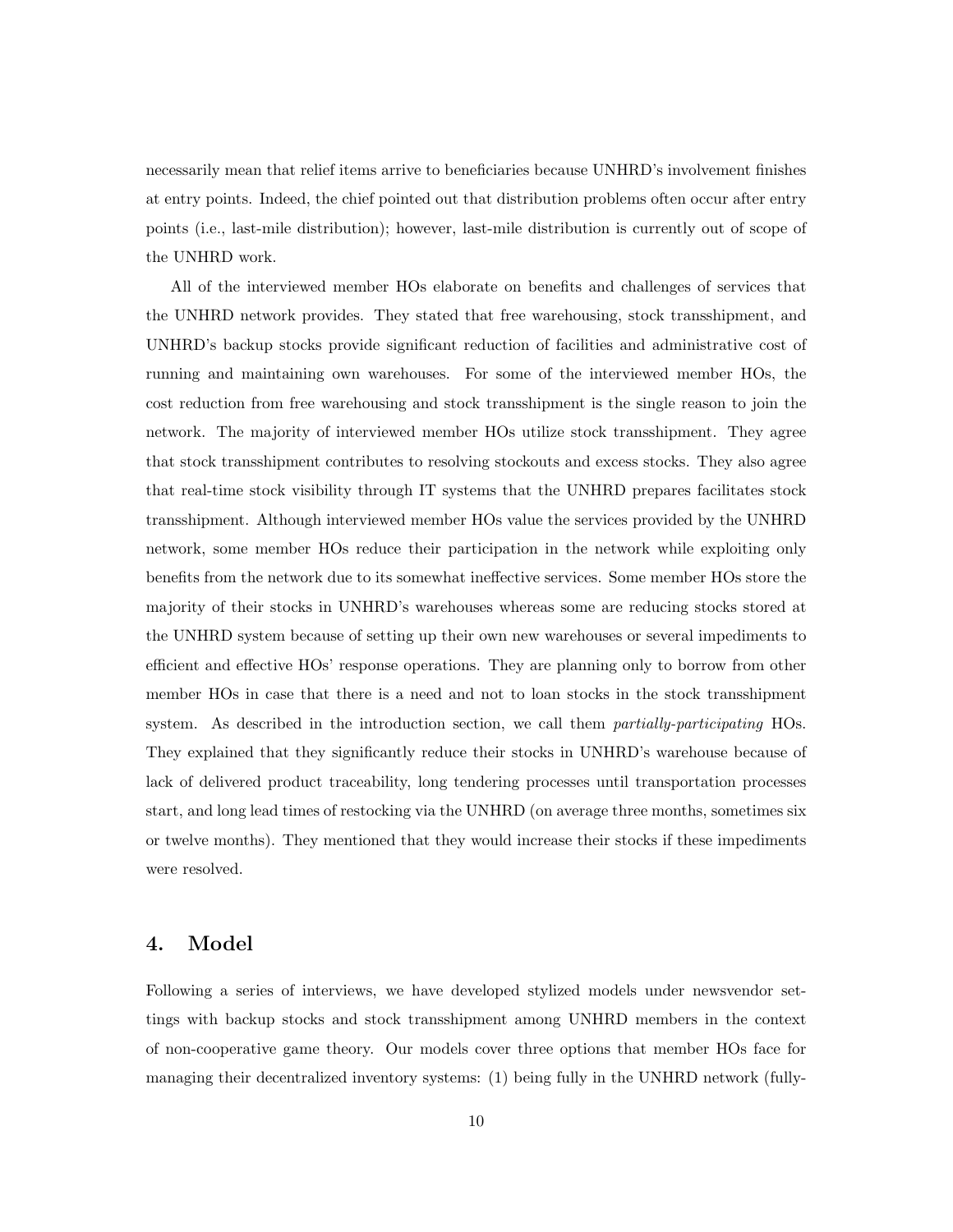necessarily mean that relief items arrive to beneficiaries because UNHRD's involvement finishes at entry points. Indeed, the chief pointed out that distribution problems often occur after entry points (i.e., last-mile distribution); however, last-mile distribution is currently out of scope of the UNHRD work.

All of the interviewed member HOs elaborate on benefits and challenges of services that the UNHRD network provides. They stated that free warehousing, stock transshipment, and UNHRD's backup stocks provide significant reduction of facilities and administrative cost of running and maintaining own warehouses. For some of the interviewed member HOs, the cost reduction from free warehousing and stock transshipment is the single reason to join the network. The majority of interviewed member HOs utilize stock transshipment. They agree that stock transshipment contributes to resolving stockouts and excess stocks. They also agree that real-time stock visibility through IT systems that the UNHRD prepares facilitates stock transshipment. Although interviewed member HOs value the services provided by the UNHRD network, some member HOs reduce their participation in the network while exploiting only benefits from the network due to its somewhat ineffective services. Some member HOs store the majority of their stocks in UNHRD's warehouses whereas some are reducing stocks stored at the UNHRD system because of setting up their own new warehouses or several impediments to efficient and effective HOs' response operations. They are planning only to borrow from other member HOs in case that there is a need and not to loan stocks in the stock transshipment system. As described in the introduction section, we call them *partially-participating* HOs. They explained that they significantly reduce their stocks in UNHRD's warehouse because of lack of delivered product traceability, long tendering processes until transportation processes start, and long lead times of restocking via the UNHRD (on average three months, sometimes six or twelve months). They mentioned that they would increase their stocks if these impediments were resolved.

### 4. Model

Following a series of interviews, we have developed stylized models under newsvendor settings with backup stocks and stock transshipment among UNHRD members in the context of non-cooperative game theory. Our models cover three options that member HOs face for managing their decentralized inventory systems: (1) being fully in the UNHRD network (fully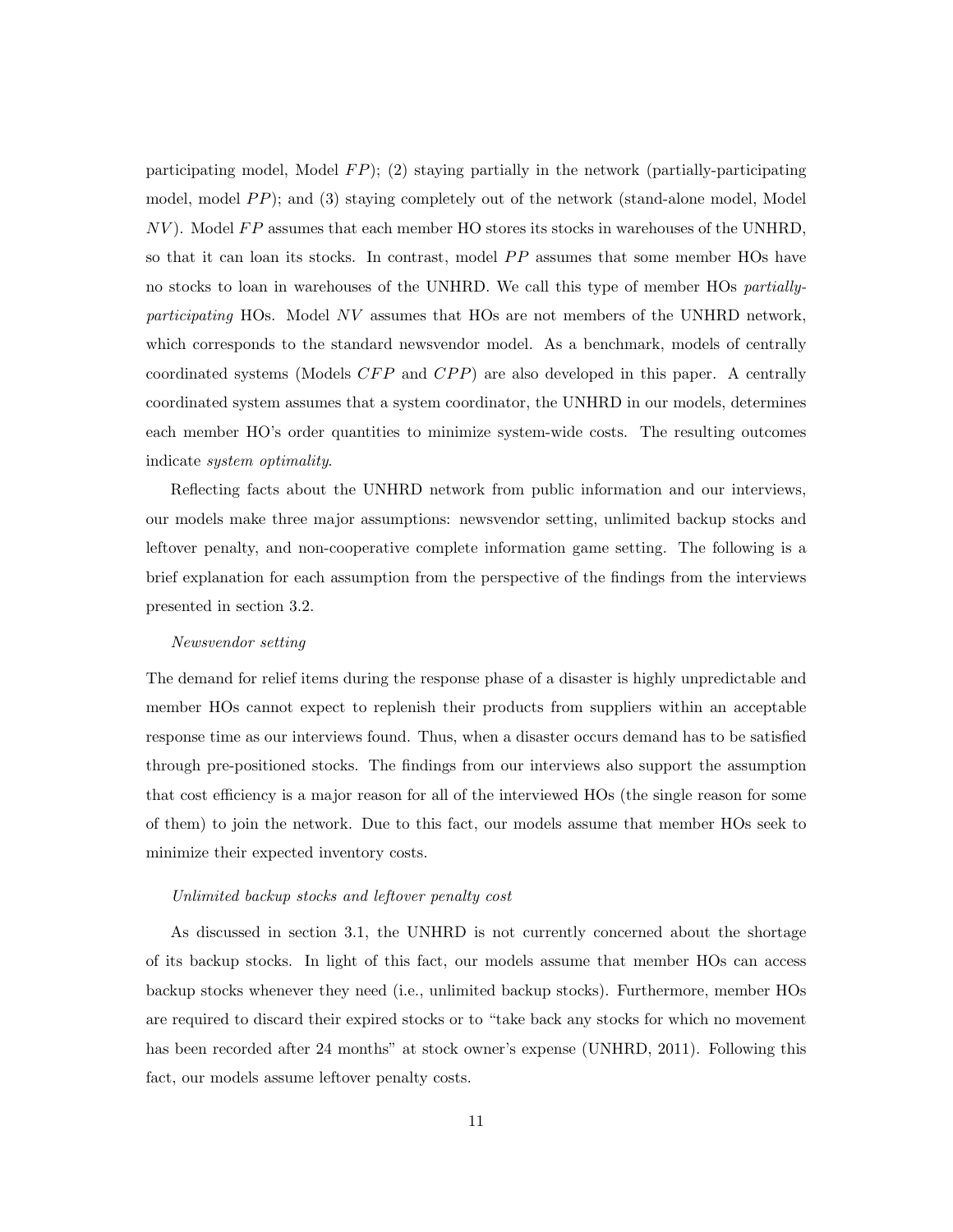participating model, Model *F P*); (2) staying partially in the network (partially-participating model, model *PP*); and (3) staying completely out of the network (stand-alone model, Model *NV*). Model *FP* assumes that each member HO stores its stocks in warehouses of the UNHRD, so that it can loan its stocks. In contrast, model PP assumes that some member HOs have no stocks to loan in warehouses of the UNHRD. We call this type of member HOs *partiallyparticipating* HOs. Model *NV* assumes that HOs are not members of the UNHRD network, which corresponds to the standard newsvendor model. As a benchmark, models of centrally coordinated systems (Models *CFP* and *CPP*) are also developed in this paper. A centrally coordinated system assumes that a system coordinator, the UNHRD in our models, determines each member HO's order quantities to minimize system-wide costs. The resulting outcomes indicate *system optimality*.

Reflecting facts about the UNHRD network from public information and our interviews, our models make three major assumptions: newsvendor setting, unlimited backup stocks and leftover penalty, and non-cooperative complete information game setting. The following is a brief explanation for each assumption from the perspective of the findings from the interviews presented in section 3.2.

#### *Newsvendor setting*

The demand for relief items during the response phase of a disaster is highly unpredictable and member HOs cannot expect to replenish their products from suppliers within an acceptable response time as our interviews found. Thus, when a disaster occurs demand has to be satisfied through pre-positioned stocks. The findings from our interviews also support the assumption that cost efficiency is a major reason for all of the interviewed HOs (the single reason for some of them) to join the network. Due to this fact, our models assume that member HOs seek to minimize their expected inventory costs.

#### *Unlimited backup stocks and leftover penalty cost*

As discussed in section 3.1, the UNHRD is not currently concerned about the shortage of its backup stocks. In light of this fact, our models assume that member HOs can access backup stocks whenever they need (i.e., unlimited backup stocks). Furthermore, member HOs are required to discard their expired stocks or to "take back any stocks for which no movement has been recorded after 24 months" at stock owner's expense (UNHRD, 2011). Following this fact, our models assume leftover penalty costs.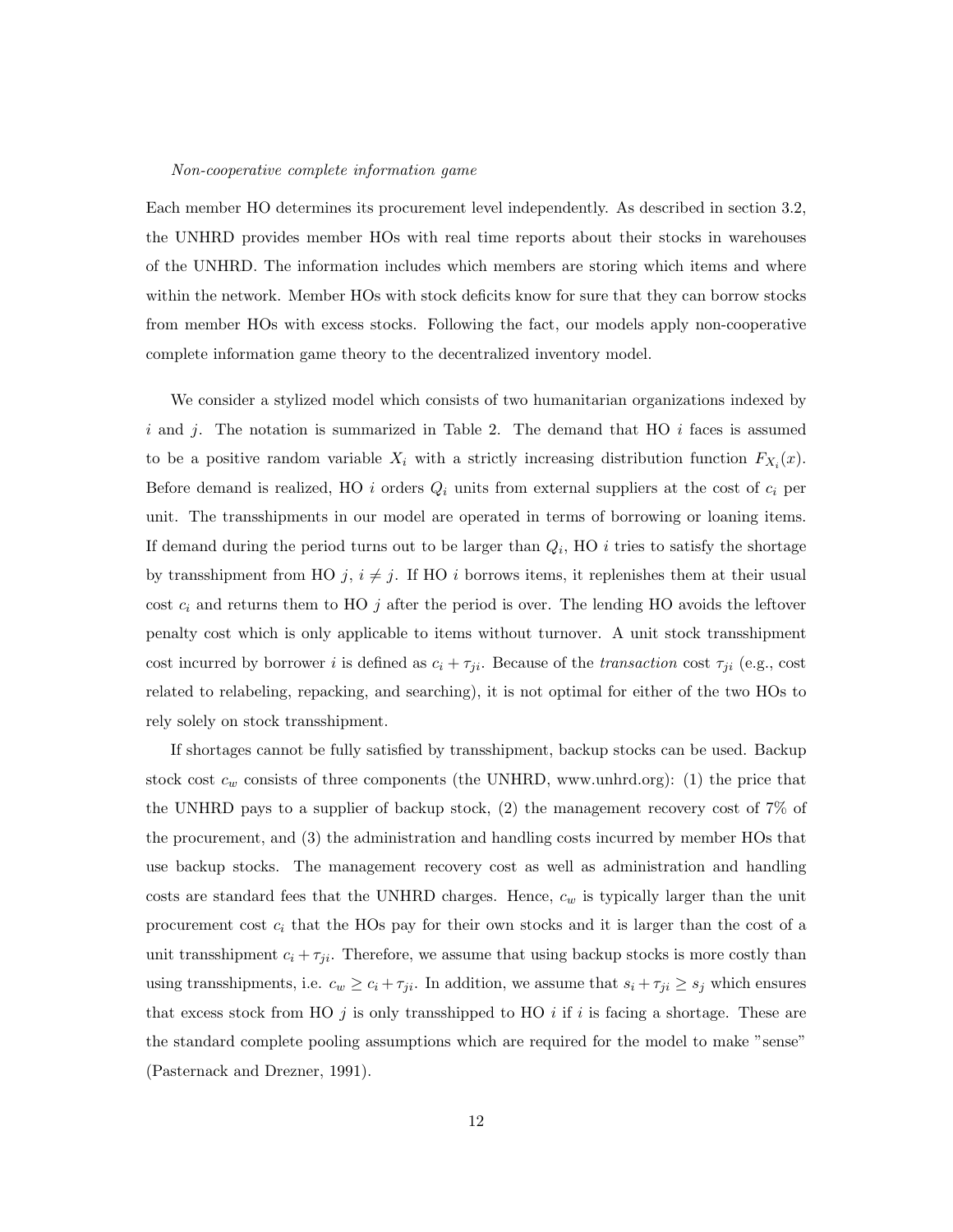#### *Non-cooperative complete information game*

Each member HO determines its procurement level independently. As described in section 3.2, the UNHRD provides member HOs with real time reports about their stocks in warehouses of the UNHRD. The information includes which members are storing which items and where within the network. Member HOs with stock deficits know for sure that they can borrow stocks from member HOs with excess stocks. Following the fact, our models apply non-cooperative complete information game theory to the decentralized inventory model.

We consider a stylized model which consists of two humanitarian organizations indexed by *i* and *j*. The notation is summarized in Table 2. The demand that HO *i* faces is assumed to be a positive random variable  $X_i$  with a strictly increasing distribution function  $F_{X_i}(x)$ . Before demand is realized, HO *i* orders  $Q_i$  units from external suppliers at the cost of  $c_i$  per unit. The transshipments in our model are operated in terms of borrowing or loaning items. If demand during the period turns out to be larger than *Qi*, HO *i* tries to satisfy the shortage by transshipment from HO  $j$ ,  $i \neq j$ . If HO *i* borrows items, it replenishes them at their usual cost  $c_i$  and returns them to HO  $j$  after the period is over. The lending HO avoids the leftover penalty cost which is only applicable to items without turnover. A unit stock transshipment cost incurred by borrower *i* is defined as  $c_i + \tau_{ji}$ . Because of the *transaction* cost  $\tau_{ji}$  (e.g., cost related to relabeling, repacking, and searching), it is not optimal for either of the two HOs to rely solely on stock transshipment.

If shortages cannot be fully satisfied by transshipment, backup stocks can be used. Backup stock cost  $c_w$  consists of three components (the UNHRD, www.unhrd.org): (1) the price that the UNHRD pays to a supplier of backup stock, (2) the management recovery cost of 7% of the procurement, and (3) the administration and handling costs incurred by member HOs that use backup stocks. The management recovery cost as well as administration and handling costs are standard fees that the UNHRD charges. Hence,  $c_w$  is typically larger than the unit procurement cost *c<sup>i</sup>* that the HOs pay for their own stocks and it is larger than the cost of a unit transshipment  $c_i + \tau_{ji}$ . Therefore, we assume that using backup stocks is more costly than using transshipments, i.e.  $c_w \ge c_i + \tau_{ji}$ . In addition, we assume that  $s_i + \tau_{ji} \ge s_j$  which ensures that excess stock from HO *j* is only transshipped to HO *i* if *i* is facing a shortage. These are the standard complete pooling assumptions which are required for the model to make "sense" (Pasternack and Drezner, 1991).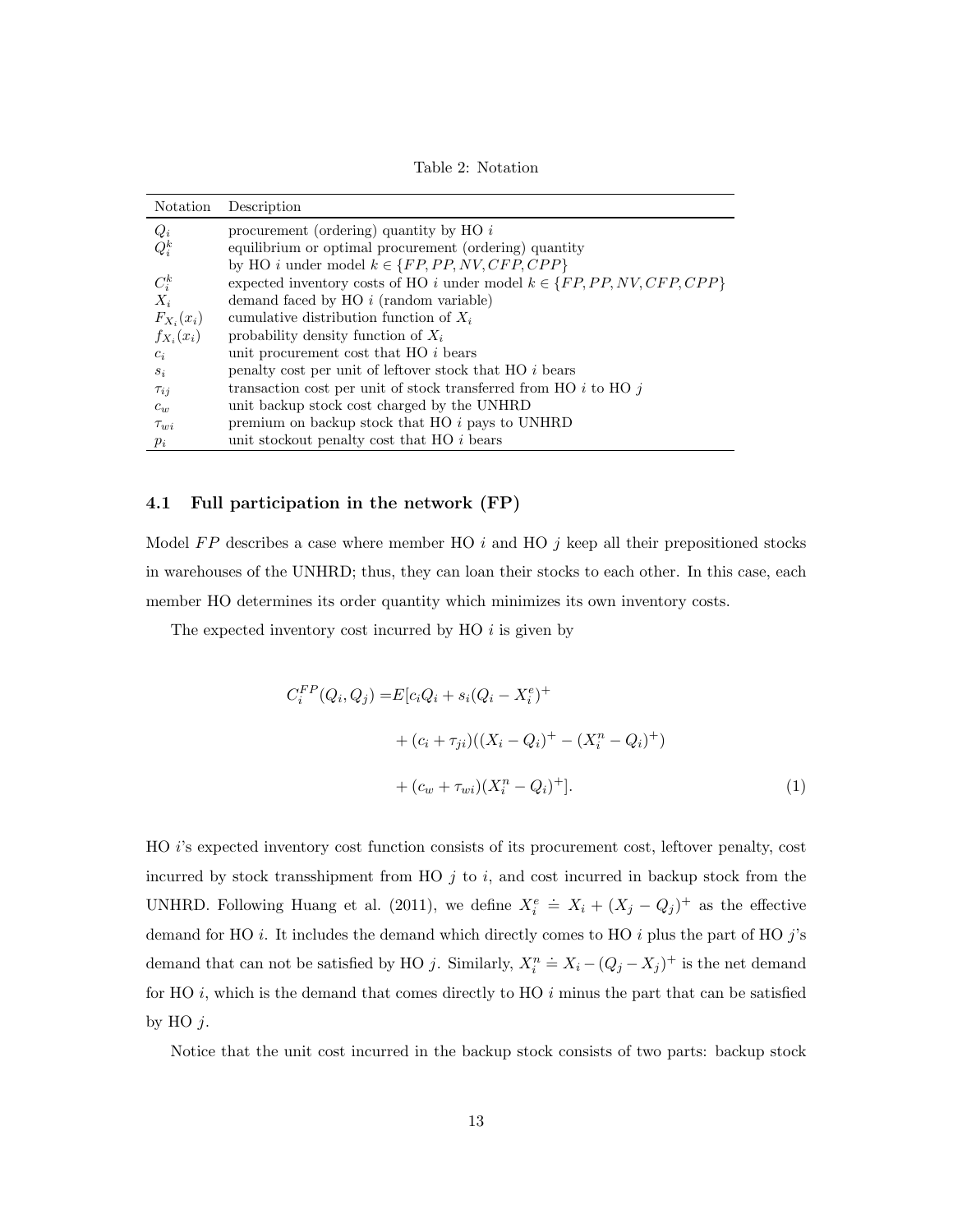Table 2: Notation

| Notation       | Description                                                                   |
|----------------|-------------------------------------------------------------------------------|
| $Q_i$          | procurement (ordering) quantity by HO $i$                                     |
| $Q_i^k$        | equilibrium or optimal procurement (ordering) quantity                        |
|                | by HO <i>i</i> under model $k \in \{FP, PP, NV, CFP, CPP\}$                   |
| $C_i^k$        | expected inventory costs of HO i under model $k \in \{FP, PP, NV, CFP, CPP\}$ |
| $X_i$          | demand faced by $HO$ <i>i</i> (random variable)                               |
| $F_{X_i}(x_i)$ | cumulative distribution function of $X_i$                                     |
| $f_{X_i}(x_i)$ | probability density function of $X_i$                                         |
| $c_i$          | unit procurement cost that HO i bears                                         |
| $s_i$          | penalty cost per unit of leftover stock that HO i bears                       |
| $\tau_{ij}$    | transaction cost per unit of stock transferred from HO $i$ to HO $j$          |
| $c_w$          | unit backup stock cost charged by the UNHRD                                   |
| $\tau_{wi}$    | premium on backup stock that $HO$ <i>i</i> pays to UNHRD                      |
| $p_i$          | unit stockout penalty cost that HO i bears                                    |

#### 4.1 Full participation in the network (FP)

Model *F P* describes a case where member HO *i* and HO *j* keep all their prepositioned stocks in warehouses of the UNHRD; thus, they can loan their stocks to each other. In this case, each member HO determines its order quantity which minimizes its own inventory costs.

The expected inventory cost incurred by HO *i* is given by

$$
C_i^{FP}(Q_i, Q_j) = E[c_iQ_i + s_i(Q_i - X_i^e)^+ + (c_i + \tau_{ji})((X_i - Q_i)^+ - (X_i^n - Q_i)^+)
$$

$$
+ (c_w + \tau_{wi})(X_i^n - Q_i)^+].
$$
(1)

HO *i*'s expected inventory cost function consists of its procurement cost, leftover penalty, cost incurred by stock transshipment from HO *j* to *i*, and cost incurred in backup stock from the UNHRD. Following Huang et al. (2011), we define  $X_i^e$  $\dot{=} X_i + (X_j - Q_j)^+$  as the effective demand for HO *i*. It includes the demand which directly comes to HO *i* plus the part of HO *j*'s demand that can not be satisfied by HO  $j$ . Similarly,  $X_i^n$  $\stackrel{\text{def}}{=} X_i - (Q_j - X_j)^+$  is the net demand for HO *i*, which is the demand that comes directly to HO *i* minus the part that can be satisfied by HO *j*.

Notice that the unit cost incurred in the backup stock consists of two parts: backup stock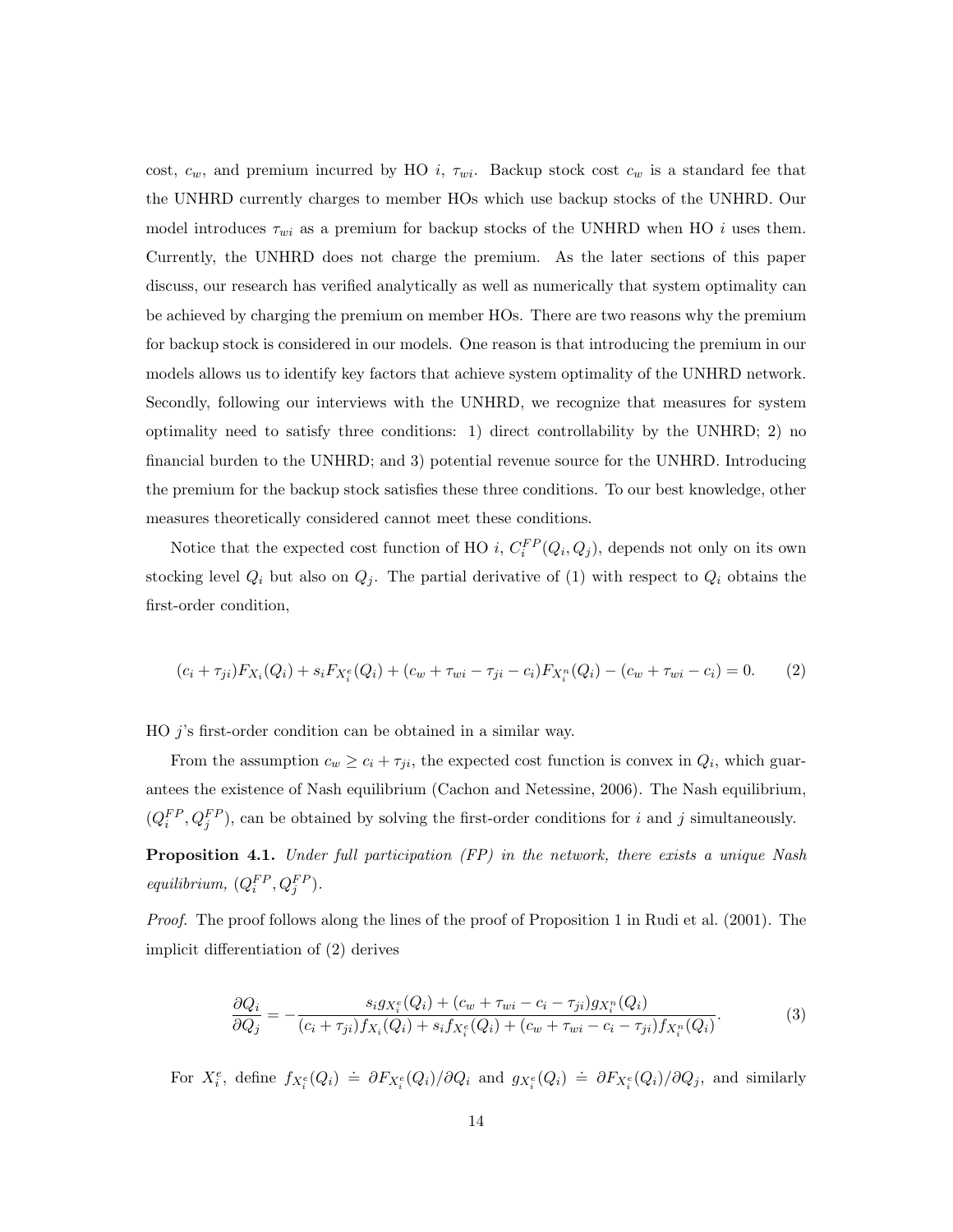cost,  $c_w$ , and premium incurred by HO *i*,  $\tau_{wi}$ . Backup stock cost  $c_w$  is a standard fee that the UNHRD currently charges to member HOs which use backup stocks of the UNHRD. Our model introduces  $\tau_{wi}$  as a premium for backup stocks of the UNHRD when HO *i* uses them. Currently, the UNHRD does not charge the premium. As the later sections of this paper discuss, our research has verified analytically as well as numerically that system optimality can be achieved by charging the premium on member HOs. There are two reasons why the premium for backup stock is considered in our models. One reason is that introducing the premium in our models allows us to identify key factors that achieve system optimality of the UNHRD network. Secondly, following our interviews with the UNHRD, we recognize that measures for system optimality need to satisfy three conditions: 1) direct controllability by the UNHRD; 2) no financial burden to the UNHRD; and 3) potential revenue source for the UNHRD. Introducing the premium for the backup stock satisfies these three conditions. To our best knowledge, other measures theoretically considered cannot meet these conditions.

Notice that the expected cost function of HO *i*,  $C_i^{FP}(Q_i, Q_j)$ , depends not only on its own stocking level  $Q_i$  but also on  $Q_j$ . The partial derivative of (1) with respect to  $Q_i$  obtains the first-order condition,

$$
(c_i + \tau_{ji})F_{X_i}(Q_i) + s_i F_{X_i^e}(Q_i) + (c_w + \tau_{wi} - \tau_{ji} - c_i)F_{X_i^n}(Q_i) - (c_w + \tau_{wi} - c_i) = 0.
$$
 (2)

HO *j*'s first-order condition can be obtained in a similar way.

From the assumption  $c_w \geq c_i + \tau_{ji}$ , the expected cost function is convex in  $Q_i$ , which guarantees the existence of Nash equilibrium (Cachon and Netessine, 2006). The Nash equilibrium,  $(Q_i^{FP}, Q_j^{FP})$ , can be obtained by solving the first-order conditions for *i* and *j* simultaneously.

Proposition 4.1. *Under full participation (FP) in the network, there exists a unique Nash equilibrium,*  $(Q_i^{FP}, Q_j^{FP})$ *.* 

*Proof.* The proof follows along the lines of the proof of Proposition 1 in Rudi et al. (2001). The implicit differentiation of  $(2)$  derives

$$
\frac{\partial Q_i}{\partial Q_j} = -\frac{s_i g_{X_i^e}(Q_i) + (c_w + \tau_{wi} - c_i - \tau_{ji}) g_{X_i^n}(Q_i)}{(c_i + \tau_{ji}) f_{X_i}(Q_i) + s_i f_{X_i^e}(Q_i) + (c_w + \tau_{wi} - c_i - \tau_{ji}) f_{X_i^n}(Q_i)}.
$$
(3)

For  $X_i^e$ , define  $f_{X_i^e}(Q_i) \doteq \partial F_{X_i^e}(Q_i)/\partial Q_i$  and  $g_{X_i^e}(Q_i) \doteq \partial F_{X_i^e}(Q_i)/\partial Q_j$ , and similarly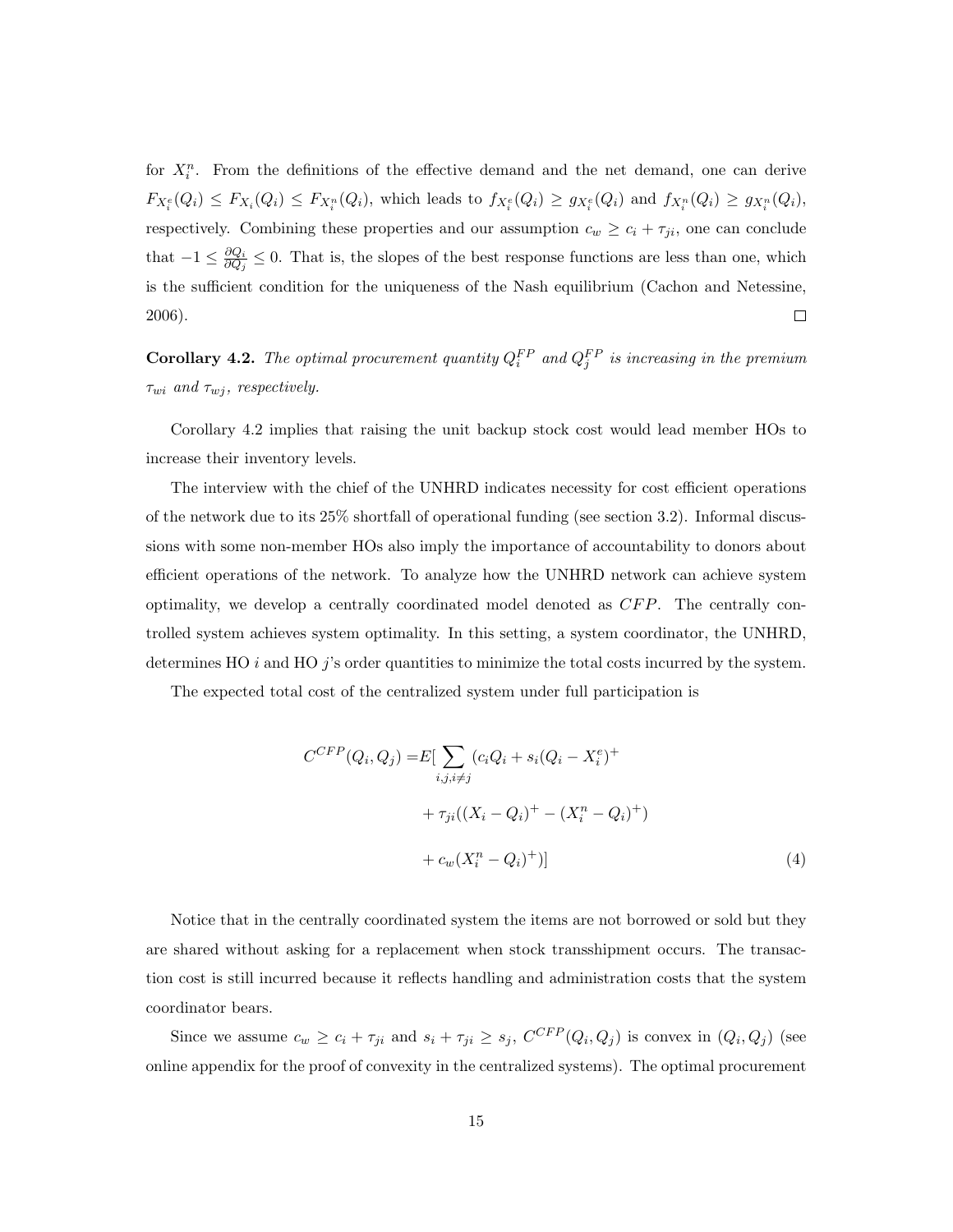for  $X_i^n$ . From the definitions of the effective demand and the net demand, one can derive  $F_{X_i^e}(Q_i) \leq F_{X_i}(Q_i) \leq F_{X_i^n}(Q_i)$ , which leads to  $f_{X_i^e}(Q_i) \geq g_{X_i^e}(Q_i)$  and  $f_{X_i^n}(Q_i) \geq g_{X_i^n}(Q_i)$ , respectively. Combining these properties and our assumption  $c_w \ge c_i + \tau_{ji}$ , one can conclude that  $-1 \leq \frac{\partial Q_i}{\partial Q_j} \leq 0$ . That is, the slopes of the best response functions are less than one, which is the sufficient condition for the uniqueness of the Nash equilibrium (Cachon and Netessine, 2006).  $\Box$ 

**Corollary 4.2.** The optimal procurement quantity  $Q_i^{FP}$  and  $Q_j^{FP}$  is increasing in the premium  $\tau_{wi}$  and  $\tau_{wj}$ , respectively.

Corollary 4.2 implies that raising the unit backup stock cost would lead member HOs to increase their inventory levels.

The interview with the chief of the UNHRD indicates necessity for cost efficient operations of the network due to its 25% shortfall of operational funding (see section 3.2). Informal discussions with some non-member HOs also imply the importance of accountability to donors about efficient operations of the network. To analyze how the UNHRD network can achieve system optimality, we develop a centrally coordinated model denoted as *CFP*. The centrally controlled system achieves system optimality. In this setting, a system coordinator, the UNHRD, determines HO *i* and HO *j*'s order quantities to minimize the total costs incurred by the system.

The expected total cost of the centralized system under full participation is

$$
C^{CFP}(Q_i, Q_j) = E[\sum_{i,j,i \neq j} (c_i Q_i + s_i (Q_i - X_i^e)^+ + \tau_{ji} ((X_i - Q_i)^+ - (X_i^n - Q_i)^+)
$$
  
+ 
$$
c_w (X_i^n - Q_i)^+)]
$$
 (4)

Notice that in the centrally coordinated system the items are not borrowed or sold but they are shared without asking for a replacement when stock transshipment occurs. The transaction cost is still incurred because it reflects handling and administration costs that the system coordinator bears.

Since we assume  $c_w \geq c_i + \tau_{ji}$  and  $s_i + \tau_{ji} \geq s_j$ ,  $C^{CFP}(Q_i, Q_j)$  is convex in  $(Q_i, Q_j)$  (see online appendix for the proof of convexity in the centralized systems). The optimal procurement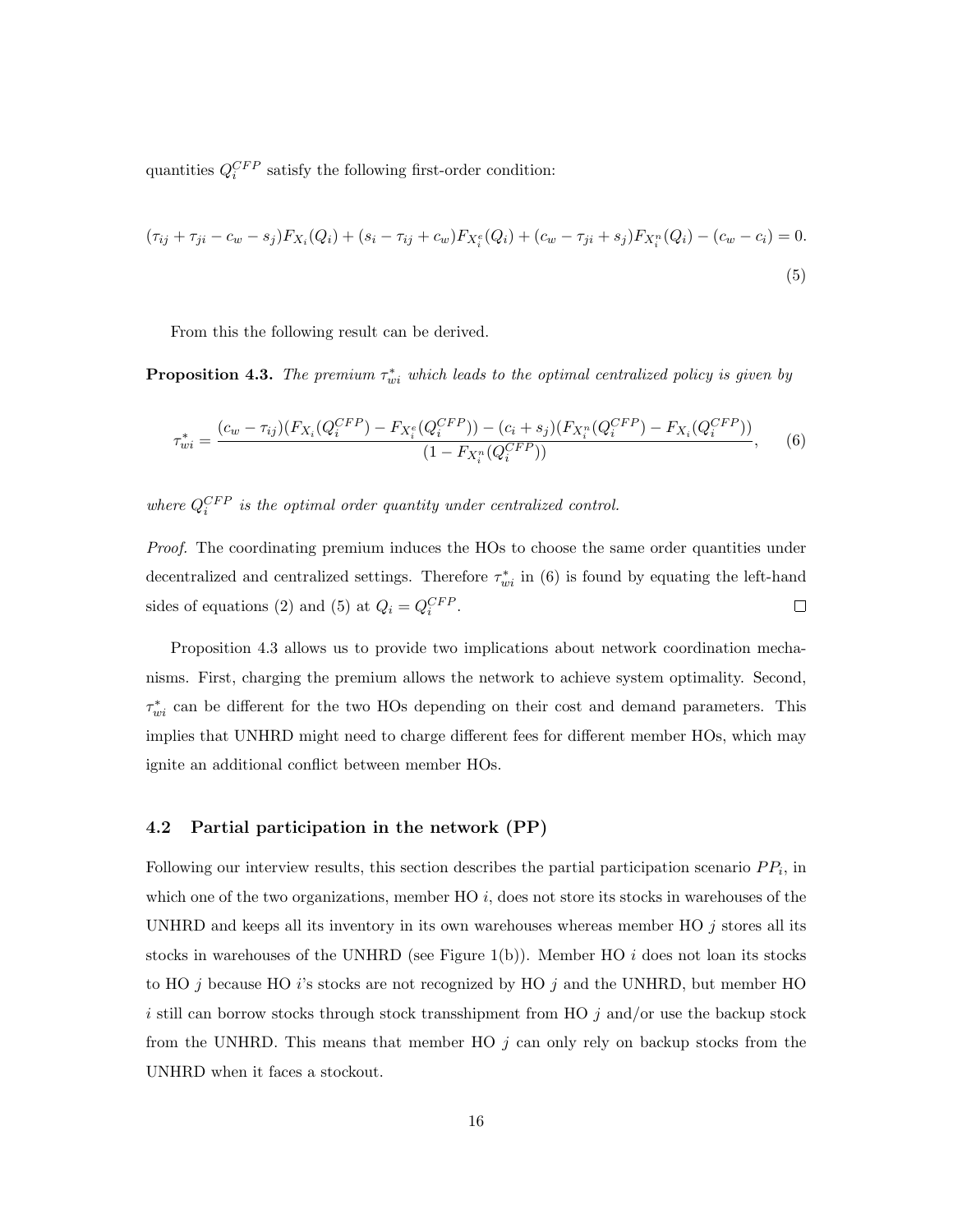quantities  $Q_i^{CFP}$  satisfy the following first-order condition:

$$
(\tau_{ij} + \tau_{ji} - c_w - s_j)F_{X_i}(Q_i) + (s_i - \tau_{ij} + c_w)F_{X_i^e}(Q_i) + (c_w - \tau_{ji} + s_j)F_{X_i^n}(Q_i) - (c_w - c_i) = 0.
$$
\n(5)

From this the following result can be derived.

**Proposition 4.3.** The premium  $\tau_{wi}^*$  which leads to the optimal centralized policy is given by

$$
\tau_{wi}^{*} = \frac{(c_w - \tau_{ij})(F_{X_i}(Q_i^{CFP}) - F_{X_i^{e}}(Q_i^{CFP})) - (c_i + s_j)(F_{X_i^{n}}(Q_i^{CFP}) - F_{X_i}(Q_i^{CFP}))}{(1 - F_{X_i^{n}}(Q_i^{CFP}))}, \qquad (6)
$$

*where*  $Q_i^{CFP}$  *is the optimal order quantity under centralized control.* 

*Proof.* The coordinating premium induces the HOs to choose the same order quantities under decentralized and centralized settings. Therefore  $\tau_{wi}^*$  in (6) is found by equating the left-hand sides of equations (2) and (5) at  $Q_i = Q_i^{CFP}$ .  $\Box$ 

Proposition 4.3 allows us to provide two implications about network coordination mechanisms. First, charging the premium allows the network to achieve system optimality. Second,  $\tau_{wi}^*$  can be different for the two HOs depending on their cost and demand parameters. This implies that UNHRD might need to charge different fees for different member HOs, which may ignite an additional conflict between member HOs.

#### 4.2 Partial participation in the network (PP)

Following our interview results, this section describes the partial participation scenario  $PP_i$ , in which one of the two organizations, member HO *i*, does not store its stocks in warehouses of the UNHRD and keeps all its inventory in its own warehouses whereas member HO *j* stores all its stocks in warehouses of the UNHRD (see Figure 1(b)). Member HO *i* does not loan its stocks to HO *j* because HO *i*'s stocks are not recognized by HO *j* and the UNHRD, but member HO *i* still can borrow stocks through stock transshipment from HO *j* and/or use the backup stock from the UNHRD. This means that member HO *j* can only rely on backup stocks from the UNHRD when it faces a stockout.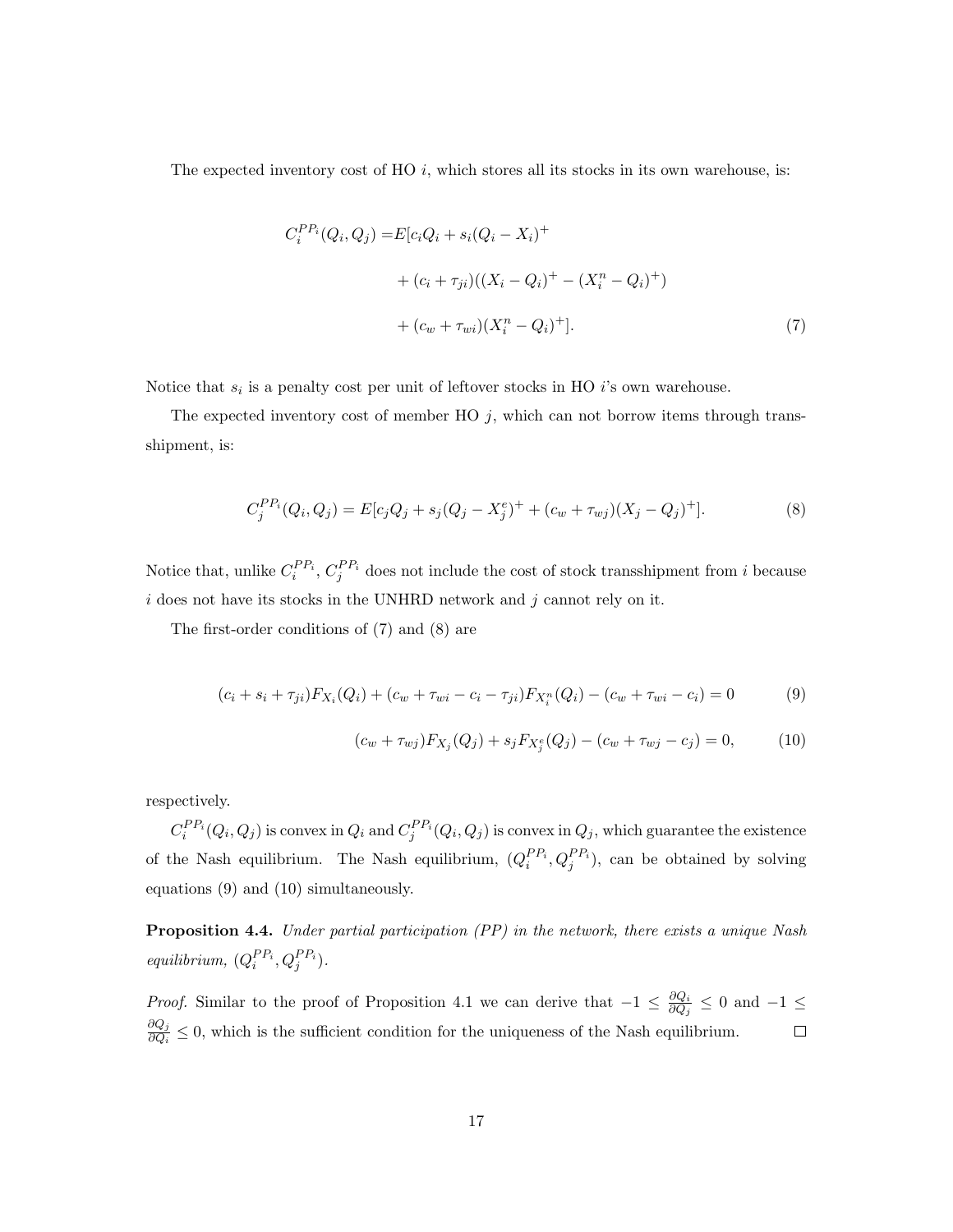The expected inventory cost of HO *i*, which stores all its stocks in its own warehouse, is:

$$
C_i^{PP_i}(Q_i, Q_j) = E[c_i Q_i + s_i (Q_i - X_i)^+ + (c_i + \tau_{ji})((X_i - Q_i)^+ - (X_i^n - Q_i)^+)
$$

$$
+ (c_w + \tau_{wi})(X_i^n - Q_i)^+].
$$
(7)

Notice that *s<sup>i</sup>* is a penalty cost per unit of leftover stocks in HO *i*'s own warehouse.

The expected inventory cost of member HO  $j$ , which can not borrow items through transshipment, is:

$$
C_j^{PP_i}(Q_i, Q_j) = E[c_j Q_j + s_j (Q_j - X_j^e)^+ + (c_w + \tau_{wj})(X_j - Q_j)^+].
$$
\n(8)

Notice that, unlike  $C_i^{PP_i}$ ,  $C_j^{PP_i}$  does not include the cost of stock transshipment from *i* because *i* does not have its stocks in the UNHRD network and *j* cannot rely on it.

The first-order conditions of (7) and (8) are

$$
(c_i + s_i + \tau_{ji})F_{X_i}(Q_i) + (c_w + \tau_{wi} - c_i - \tau_{ji})F_{X_i^n}(Q_i) - (c_w + \tau_{wi} - c_i) = 0
$$
\n(9)

$$
(c_w + \tau_{wj})F_{X_j}(Q_j) + s_j F_{X_j^e}(Q_j) - (c_w + \tau_{wj} - c_j) = 0, \tag{10}
$$

respectively.

 $C_i^{PP_i}(Q_i,Q_j)$  is convex in  $Q_i$  and  $C_j^{PP_i}(Q_i,Q_j)$  is convex in  $Q_j$ , which guarantee the existence of the Nash equilibrium. The Nash equilibrium,  $(Q_i^{PP_i}, Q_j^{PP_i})$ , can be obtained by solving equations (9) and (10) simultaneously.

Proposition 4.4. *Under partial participation (PP) in the network, there exists a unique Nash equilibrium,*  $(Q_i^{PP_i}, Q_j^{PP_i})$ *.* 

*Proof.* Similar to the proof of Proposition 4.1 we can derive that  $-1 \leq \frac{\partial Q_i}{\partial Q_j} \leq 0$  and  $-1 \leq$  $\frac{\partial Q_j}{\partial Q_i} \leq 0$ , which is the sufficient condition for the uniqueness of the Nash equilibrium.  $\Box$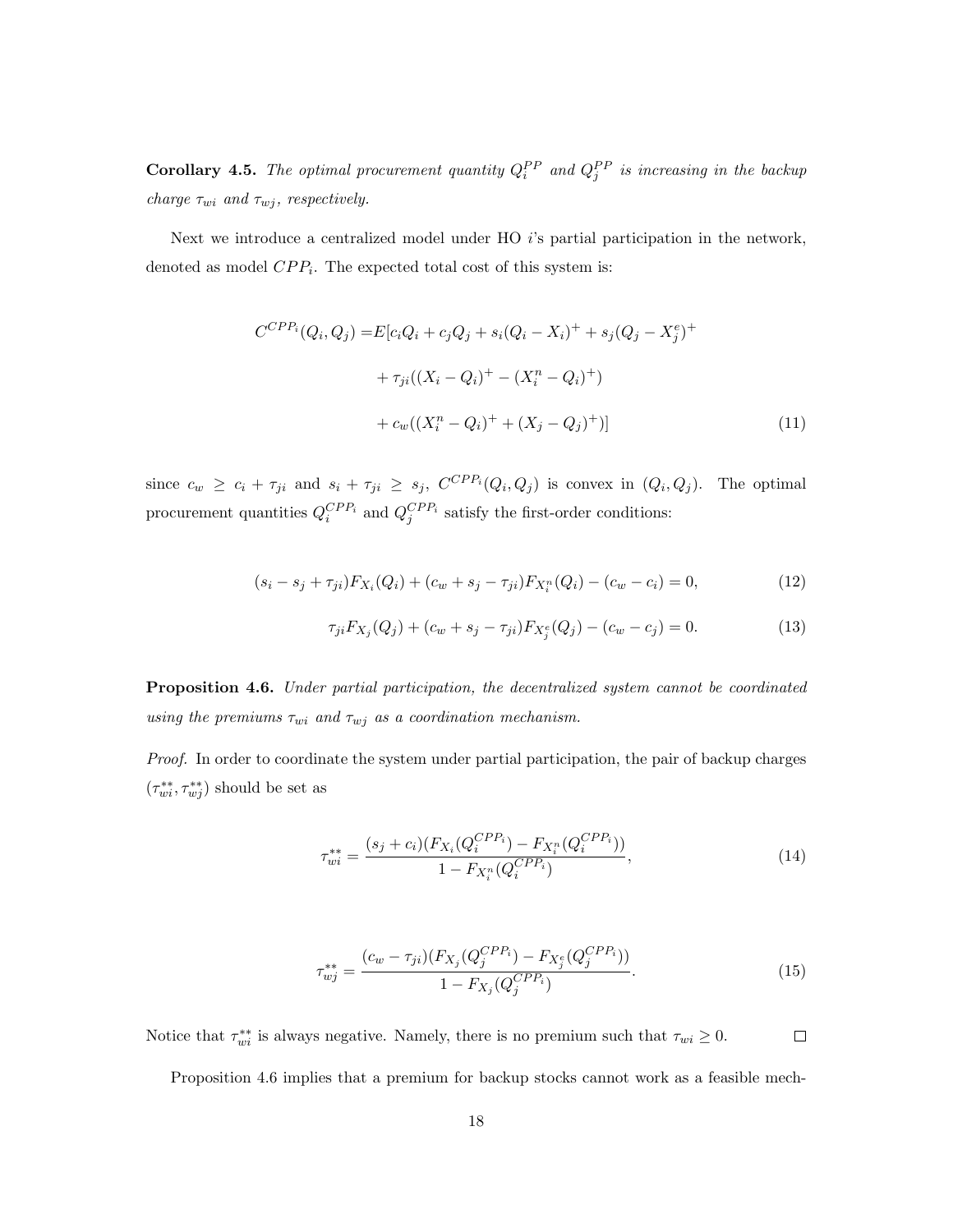**Corollary 4.5.** The optimal procurement quantity  $Q_i^{PP}$  and  $Q_j^{PP}$  is increasing in the backup *charge*  $\tau_{wi}$  *and*  $\tau_{wj}$ *, respectively.* 

Next we introduce a centralized model under HO *i*'s partial participation in the network, denoted as model *CPPi*. The expected total cost of this system is:

$$
C^{CPP_i}(Q_i, Q_j) = E[c_iQ_i + c_jQ_j + s_i(Q_i - X_i)^+ + s_j(Q_j - X_j^e)^+ + \tau_{ji}((X_i - Q_i)^+ - (X_i^n - Q_i)^+)
$$
  
+ 
$$
c_w((X_i^n - Q_i)^+ + (X_j - Q_j)^+)]
$$
 (11)

since  $c_w \geq c_i + \tau_{ji}$  and  $s_i + \tau_{ji} \geq s_j$ ,  $C^{CPP_i}(Q_i, Q_j)$  is convex in  $(Q_i, Q_j)$ . The optimal procurement quantities  $Q_i^{CPP_i}$  and  $Q_j^{CPP_i}$  satisfy the first-order conditions:

$$
(s_i - s_j + \tau_{ji}) F_{X_i}(Q_i) + (c_w + s_j - \tau_{ji}) F_{X_i^n}(Q_i) - (c_w - c_i) = 0,
$$
\n(12)

$$
\tau_{ji} F_{X_j}(Q_j) + (c_w + s_j - \tau_{ji}) F_{X_j^e}(Q_j) - (c_w - c_j) = 0.
$$
\n(13)

Proposition 4.6. *Under partial participation, the decentralized system cannot be coordinated using the premiums*  $\tau_{wi}$  *and*  $\tau_{wj}$  *as a coordination mechanism.* 

*Proof.* In order to coordinate the system under partial participation, the pair of backup charges  $(\tau_{wi}^{**}, \tau_{wj}^{**})$  should be set as

$$
\tau_{wi}^{**} = \frac{(s_j + c_i)(F_{X_i}(Q_i^{CPP_i}) - F_{X_i^n}(Q_i^{CPP_i}))}{1 - F_{X_i^n}(Q_i^{CPP_i})},\tag{14}
$$

$$
\tau_{wj}^{**} = \frac{(c_w - \tau_{ji})(F_{X_j}(Q_j^{CPP_i}) - F_{X_j^e}(Q_j^{CPP_i}))}{1 - F_{X_j}(Q_j^{CPP_i})}.
$$
\n(15)

Notice that  $\tau_{wi}^{**}$  is always negative. Namely, there is no premium such that  $\tau_{wi} \geq 0$ .  $\Box$ 

Proposition 4.6 implies that a premium for backup stocks cannot work as a feasible mech-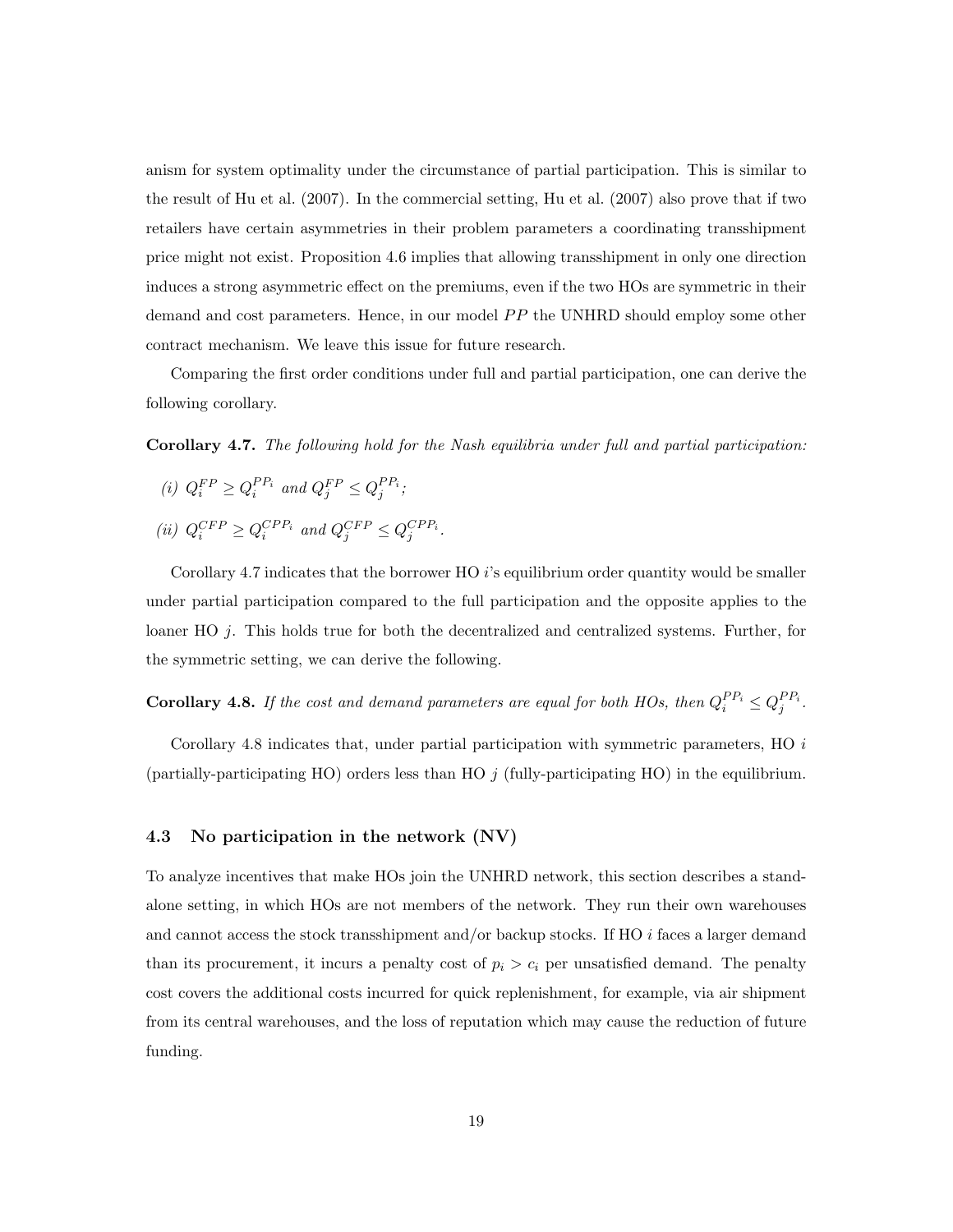anism for system optimality under the circumstance of partial participation. This is similar to the result of Hu et al. (2007). In the commercial setting, Hu et al. (2007) also prove that if two retailers have certain asymmetries in their problem parameters a coordinating transshipment price might not exist. Proposition 4.6 implies that allowing transshipment in only one direction induces a strong asymmetric effect on the premiums, even if the two HOs are symmetric in their demand and cost parameters. Hence, in our model *PP* the UNHRD should employ some other contract mechanism. We leave this issue for future research.

Comparing the first order conditions under full and partial participation, one can derive the following corollary.

Corollary 4.7. *The following hold for the Nash equilibria under full and partial participation:*

(*i*)  $Q_i^{FP} \ge Q_i^{PP_i}$  and  $Q_j^{FP} \le Q_j^{PP_i}$ ;  $(iii)$   $Q_i^{CFP} \geq Q_i^{CPP_i}$  *and*  $Q_j^{CFP} \leq Q_j^{CPP_i}$ .

Corollary 4.7 indicates that the borrower HO *i*'s equilibrium order quantity would be smaller under partial participation compared to the full participation and the opposite applies to the loaner HO *j*. This holds true for both the decentralized and centralized systems. Further, for the symmetric setting, we can derive the following.

**Corollary 4.8.** If the cost and demand parameters are equal for both HOs, then  $Q_i^{PP_i} \leq Q_j^{PP_i}$ .

Corollary 4.8 indicates that, under partial participation with symmetric parameters, HO *i* (partially-participating HO) orders less than HO *j* (fully-participating HO) in the equilibrium.

#### 4.3 No participation in the network (NV)

To analyze incentives that make HOs join the UNHRD network, this section describes a standalone setting, in which HOs are not members of the network. They run their own warehouses and cannot access the stock transshipment and/or backup stocks. If HO *i* faces a larger demand than its procurement, it incurs a penalty cost of  $p_i > c_i$  per unsatisfied demand. The penalty cost covers the additional costs incurred for quick replenishment, for example, via air shipment from its central warehouses, and the loss of reputation which may cause the reduction of future funding.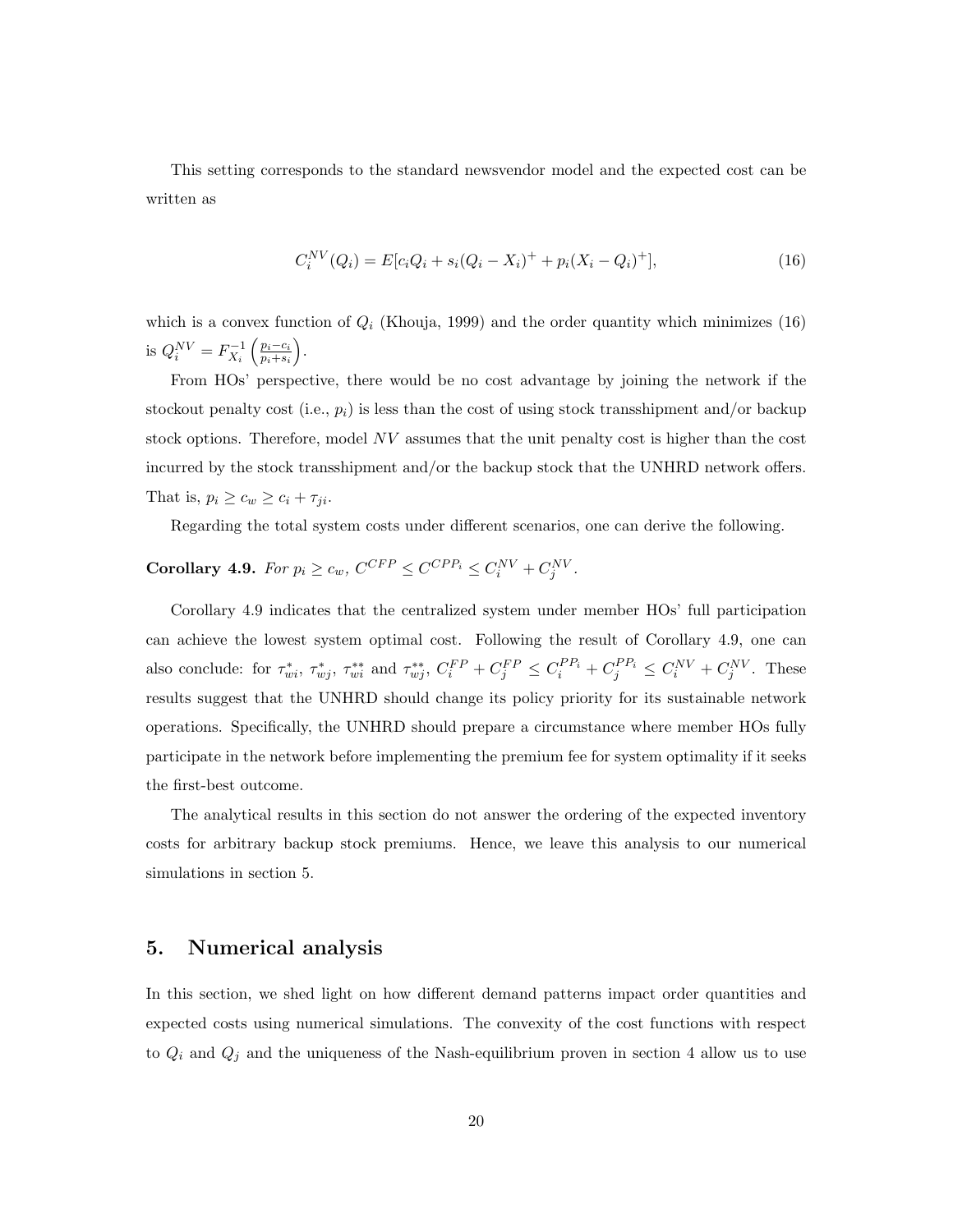This setting corresponds to the standard newsvendor model and the expected cost can be written as

$$
C_i^{NV}(Q_i) = E[c_iQ_i + s_i(Q_i - X_i)^{+} + p_i(X_i - Q_i)^{+}],
$$
\n(16)

which is a convex function of  $Q_i$  (Khouja, 1999) and the order quantity which minimizes  $(16)$ is  $Q_i^{NV} = F_{X_i}^{-1} \left( \frac{p_i - c_i}{p_i + s_i} \right)$  $\big).$ 

From HOs' perspective, there would be no cost advantage by joining the network if the stockout penalty cost (i.e.,  $p_i$ ) is less than the cost of using stock transshipment and/or backup stock options. Therefore, model *NV* assumes that the unit penalty cost is higher than the cost incurred by the stock transshipment and/or the backup stock that the UNHRD network offers. That is,  $p_i \geq c_w \geq c_i + \tau_{ji}$ .

Regarding the total system costs under different scenarios, one can derive the following.

# **Corollary 4.9.** For  $p_i \ge c_w$ ,  $C^{CFP} \le C^{CPP_i} \le C_i^{NV} + C_j^{NV}$ .

Corollary 4.9 indicates that the centralized system under member HOs' full participation can achieve the lowest system optimal cost. Following the result of Corollary 4.9, one can also conclude: for  $\tau_{wi}^*$ ,  $\tau_{wj}^*$ ,  $\tau_{wi}^{**}$  and  $\tau_{wj}^{**}$ ,  $C_i^{FP} + C_j^{FP} \leq C_i^{PP_i} + C_j^{PP_i} \leq C_i^{NV} + C_j^{NV}$ . These results suggest that the UNHRD should change its policy priority for its sustainable network operations. Specifically, the UNHRD should prepare a circumstance where member HOs fully participate in the network before implementing the premium fee for system optimality if it seeks the first-best outcome.

The analytical results in this section do not answer the ordering of the expected inventory costs for arbitrary backup stock premiums. Hence, we leave this analysis to our numerical simulations in section 5.

### 5. Numerical analysis

In this section, we shed light on how different demand patterns impact order quantities and expected costs using numerical simulations. The convexity of the cost functions with respect to  $Q_i$  and  $Q_j$  and the uniqueness of the Nash-equilibrium proven in section 4 allow us to use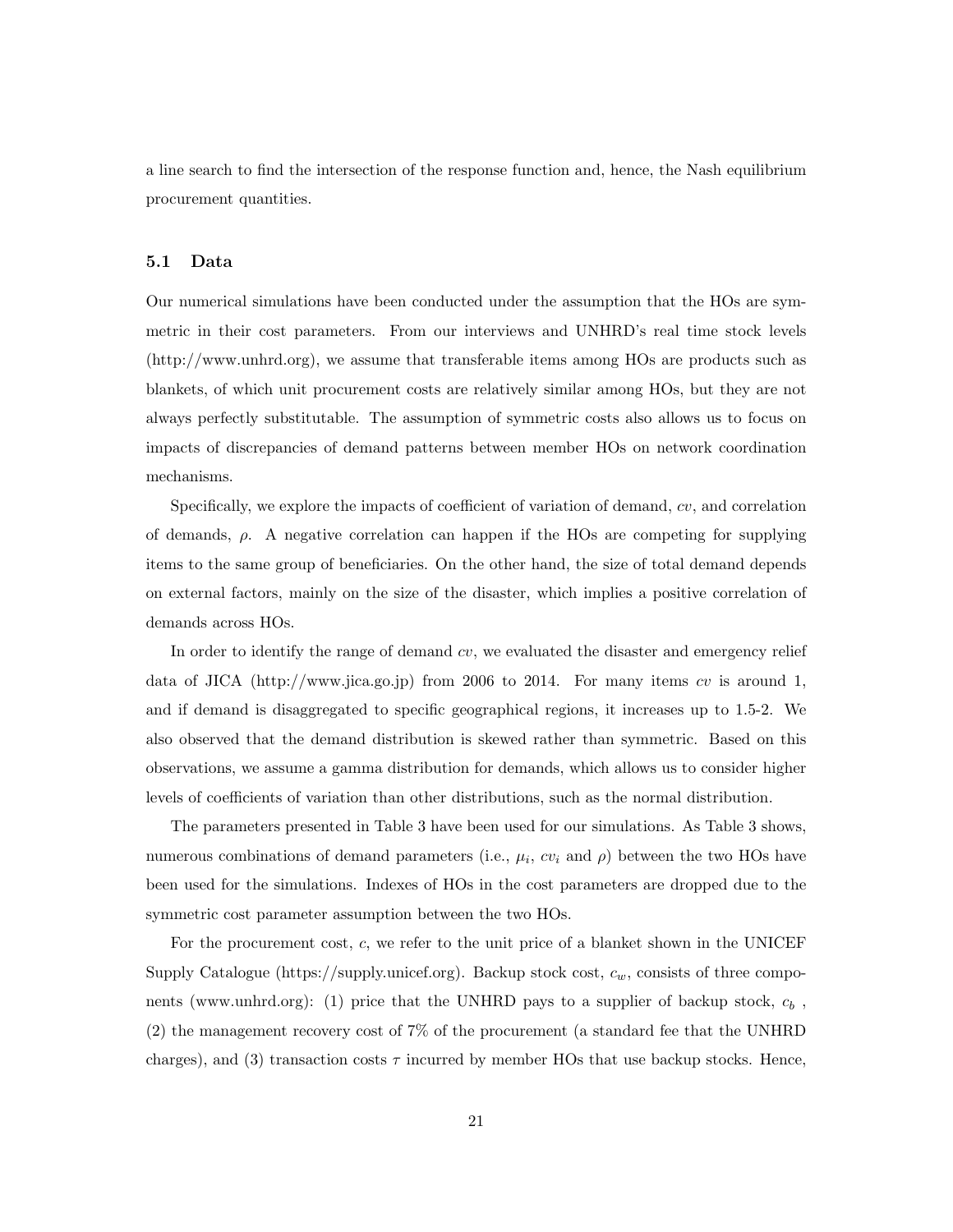a line search to find the intersection of the response function and, hence, the Nash equilibrium procurement quantities.

#### 5.1 Data

Our numerical simulations have been conducted under the assumption that the HOs are symmetric in their cost parameters. From our interviews and UNHRD's real time stock levels (http://www.unhrd.org), we assume that transferable items among HOs are products such as blankets, of which unit procurement costs are relatively similar among HOs, but they are not always perfectly substitutable. The assumption of symmetric costs also allows us to focus on impacts of discrepancies of demand patterns between member HOs on network coordination mechanisms.

Specifically, we explore the impacts of coefficient of variation of demand, *cv*, and correlation of demands,  $\rho$ . A negative correlation can happen if the HOs are competing for supplying items to the same group of beneficiaries. On the other hand, the size of total demand depends on external factors, mainly on the size of the disaster, which implies a positive correlation of demands across HOs.

In order to identify the range of demand *cv*, we evaluated the disaster and emergency relief data of JICA (http://www.jica.go.jp) from 2006 to 2014. For many items *cv* is around 1, and if demand is disaggregated to specific geographical regions, it increases up to 1.5-2. We also observed that the demand distribution is skewed rather than symmetric. Based on this observations, we assume a gamma distribution for demands, which allows us to consider higher levels of coefficients of variation than other distributions, such as the normal distribution.

The parameters presented in Table 3 have been used for our simulations. As Table 3 shows, numerous combinations of demand parameters (i.e.,  $\mu_i$ ,  $cv_i$  and  $\rho$ ) between the two HOs have been used for the simulations. Indexes of HOs in the cost parameters are dropped due to the symmetric cost parameter assumption between the two HOs.

For the procurement cost, *c*, we refer to the unit price of a blanket shown in the UNICEF Supply Catalogue (https://supply.unicef.org). Backup stock cost, *cw*, consists of three components (www.unhrd.org): (1) price that the UNHRD pays to a supplier of backup stock, *c<sup>b</sup>* , (2) the management recovery cost of 7% of the procurement (a standard fee that the UNHRD charges), and (3) transaction costs  $\tau$  incurred by member HOs that use backup stocks. Hence,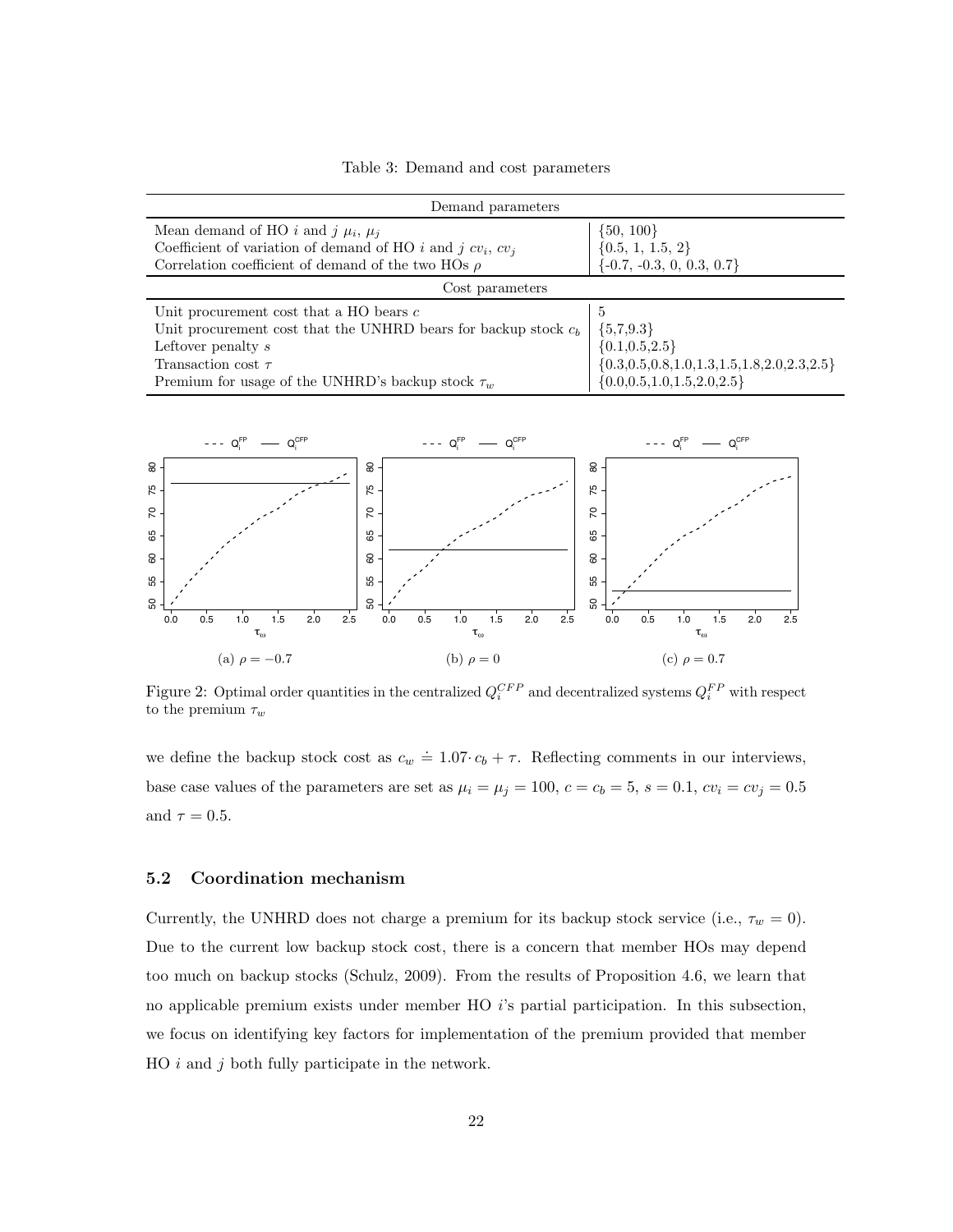Table 3: Demand and cost parameters

| Demand parameters                                                 |                                                                 |  |  |  |
|-------------------------------------------------------------------|-----------------------------------------------------------------|--|--|--|
| Mean demand of HO i and j $\mu_i$ , $\mu_j$                       | $\{50, 100\}$                                                   |  |  |  |
| Coefficient of variation of demand of HO i and j $cv_i$ , $cv_j$  | $\{0.5, 1, 1.5, 2\}$                                            |  |  |  |
| Correlation coefficient of demand of the two HOs $\rho$           | $\{-0.7, -0.3, 0, 0.3, 0.7\}$                                   |  |  |  |
| Cost parameters                                                   |                                                                 |  |  |  |
| Unit procurement cost that a HO bears $c$                         | -5                                                              |  |  |  |
| Unit procurement cost that the UNHRD bears for backup stock $c_b$ | ${5,7,9.3}$                                                     |  |  |  |
| Leftover penalty s                                                | ${0.1, 0.5, 2.5}$                                               |  |  |  |
| Transaction cost $\tau$                                           | $\{0.3,\!0.5,\!0.8,\!1.0,\!1.3,\!1.5,\!1.8,\!2.0,\!2.3,\!2.5\}$ |  |  |  |
| Premium for usage of the UNHRD's backup stock $\tau_w$            | ${0.0, 0.5, 1.0, 1.5, 2.0, 2.5}$                                |  |  |  |



Figure 2: Optimal order quantities in the centralized  $Q_i^{CFP}$  and decentralized systems  $Q_i^{FP}$  with respect to the premium  $\tau_w$ 

we define the backup stock cost as  $c_w \doteq 1.07 \cdot c_b + \tau$ . Reflecting comments in our interviews, base case values of the parameters are set as  $\mu_i = \mu_j = 100$ ,  $c = c_b = 5$ ,  $s = 0.1$ ,  $cv_i = cv_j = 0.5$ and  $\tau = 0.5$ .

#### 5.2 Coordination mechanism

Currently, the UNHRD does not charge a premium for its backup stock service (i.e.,  $\tau_w = 0$ ). Due to the current low backup stock cost, there is a concern that member HOs may depend too much on backup stocks (Schulz, 2009). From the results of Proposition 4.6, we learn that no applicable premium exists under member HO *i*'s partial participation. In this subsection, we focus on identifying key factors for implementation of the premium provided that member HO *i* and *j* both fully participate in the network.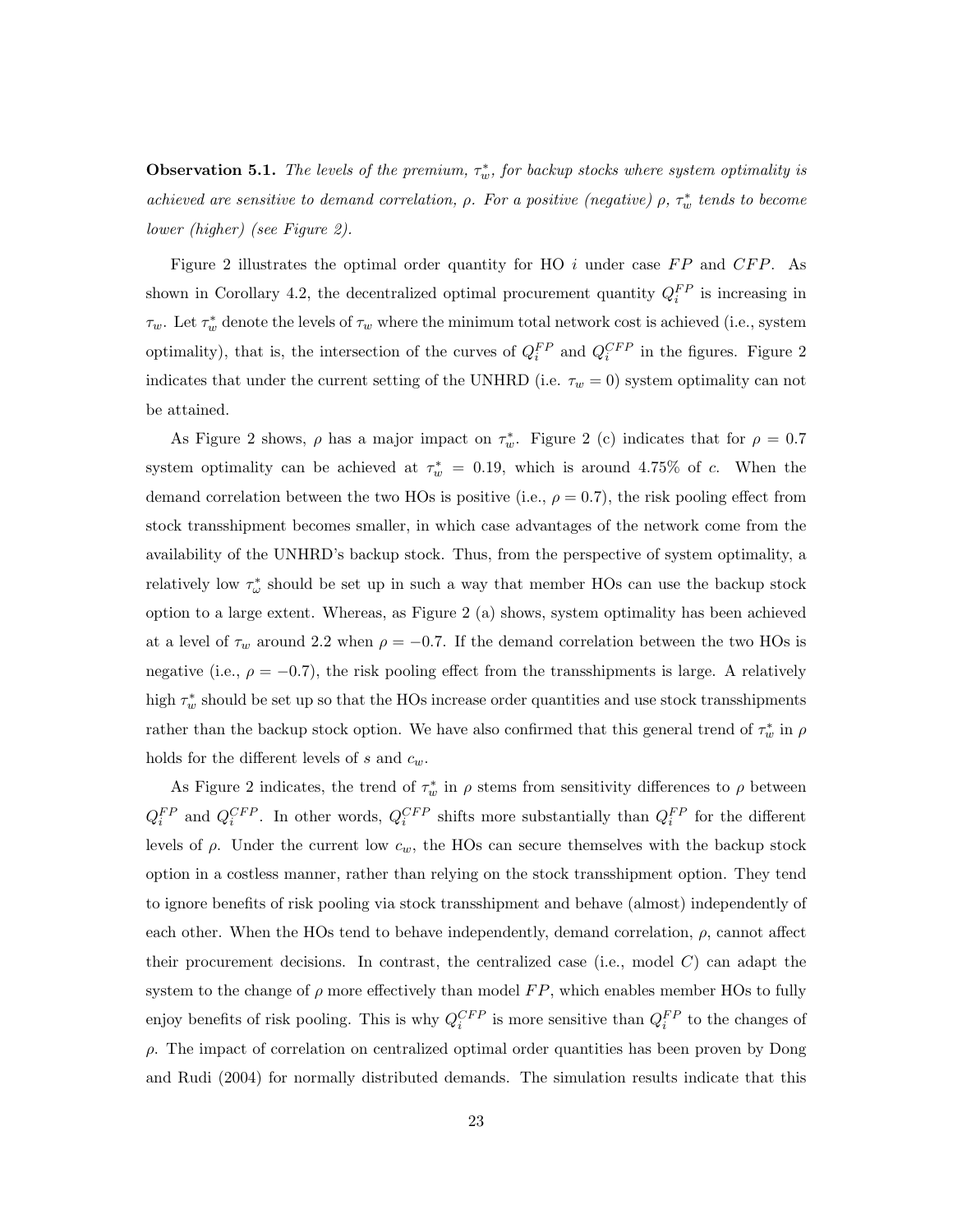**Observation 5.1.** The levels of the premium,  $\tau_w^*$ , for backup stocks where system optimality is *achieved are sensitive to demand correlation,*  $\rho$ . For a positive (negative)  $\rho$ ,  $\tau_w^*$  tends to become *lower (higher) (see Figure 2).*

Figure 2 illustrates the optimal order quantity for HO *i* under case *F P* and *CFP*. As shown in Corollary 4.2, the decentralized optimal procurement quantity  $Q_i^{FP}$  is increasing in  $\tau_w$ . Let  $\tau_w^*$  denote the levels of  $\tau_w$  where the minimum total network cost is achieved (i.e., system optimality), that is, the intersection of the curves of  $Q_i^{FP}$  and  $Q_i^{CFP}$  in the figures. Figure 2 indicates that under the current setting of the UNHRD (i.e.  $\tau_w = 0$ ) system optimality can not be attained.

As Figure 2 shows,  $\rho$  has a major impact on  $\tau_w^*$ . Figure 2 (c) indicates that for  $\rho = 0.7$ system optimality can be achieved at  $\tau_w^* = 0.19$ , which is around 4.75% of *c*. When the demand correlation between the two HOs is positive (i.e.,  $\rho = 0.7$ ), the risk pooling effect from stock transshipment becomes smaller, in which case advantages of the network come from the availability of the UNHRD's backup stock. Thus, from the perspective of system optimality, a relatively low  $\tau_{\omega}^*$  should be set up in such a way that member HOs can use the backup stock option to a large extent. Whereas, as Figure 2 (a) shows, system optimality has been achieved at a level of  $\tau_w$  around 2.2 when  $\rho = -0.7$ . If the demand correlation between the two HOs is negative (i.e.,  $\rho = -0.7$ ), the risk pooling effect from the transshipments is large. A relatively high  $\tau_w^*$  should be set up so that the HOs increase order quantities and use stock transshipments rather than the backup stock option. We have also confirmed that this general trend of  $\tau_w^*$  in  $\rho$ holds for the different levels of  $s$  and  $c_w$ .

As Figure 2 indicates, the trend of  $\tau_w^*$  in  $\rho$  stems from sensitivity differences to  $\rho$  between  $Q_i^{FP}$  and  $Q_i^{CFP}$ . In other words,  $Q_i^{CFP}$  shifts more substantially than  $Q_i^{FP}$  for the different levels of  $\rho$ . Under the current low  $c_w$ , the HOs can secure themselves with the backup stock option in a costless manner, rather than relying on the stock transshipment option. They tend to ignore benefits of risk pooling via stock transshipment and behave (almost) independently of each other. When the HOs tend to behave independently, demand correlation,  $\rho$ , cannot affect their procurement decisions. In contrast, the centralized case (i.e., model *C*) can adapt the system to the change of  $\rho$  more effectively than model  $FP$ , which enables member HOs to fully enjoy benefits of risk pooling. This is why  $Q_i^{CFP}$  is more sensitive than  $Q_i^{FP}$  to the changes of  $\rho$ . The impact of correlation on centralized optimal order quantities has been proven by Dong and Rudi (2004) for normally distributed demands. The simulation results indicate that this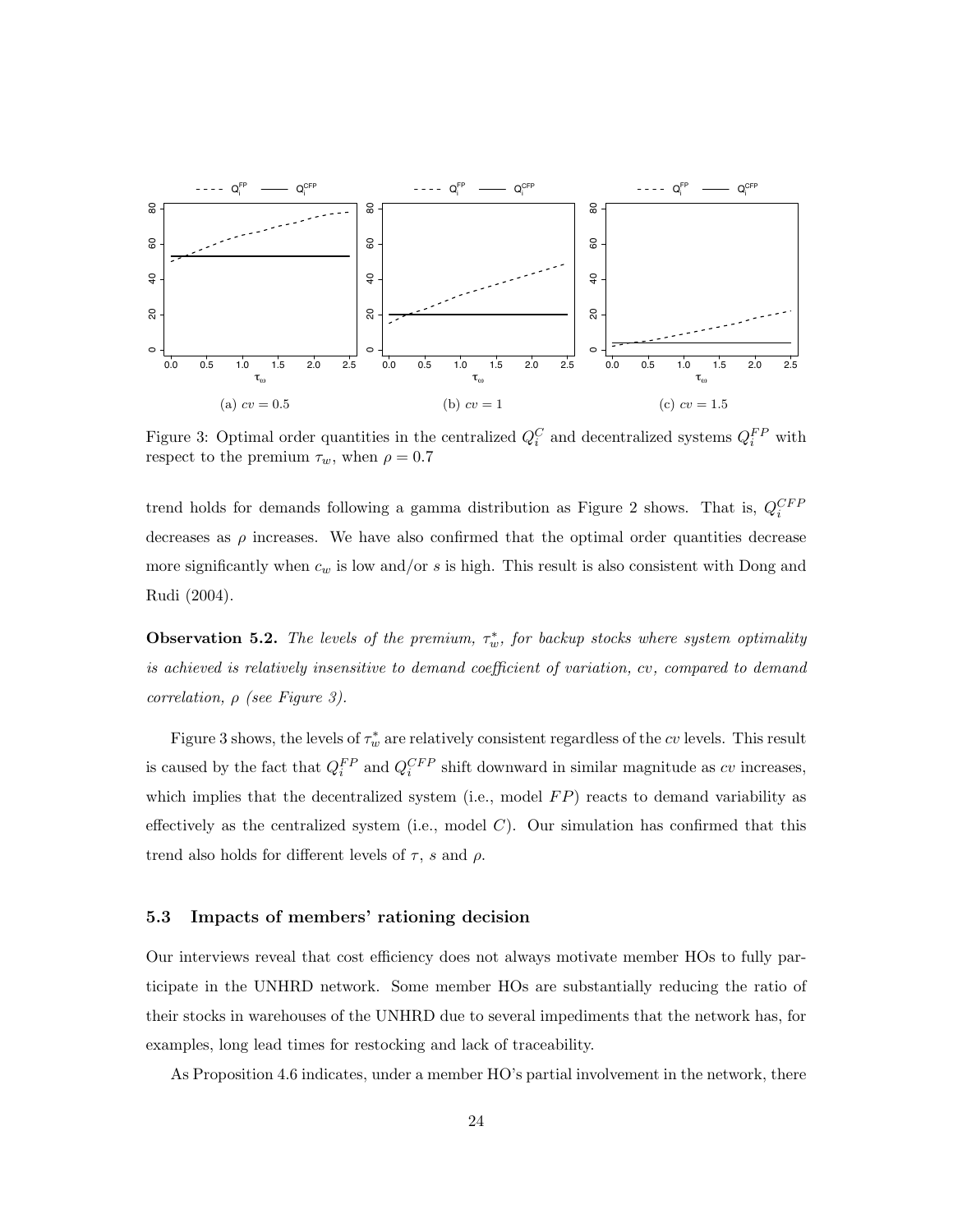

Figure 3: Optimal order quantities in the centralized  $Q_i^C$  and decentralized systems  $Q_i^{FP}$  with respect to the premium  $\tau_w$ , when  $\rho = 0.7$ 

trend holds for demands following a gamma distribution as Figure 2 shows. That is, *QCFP i* decreases as  $\rho$  increases. We have also confirmed that the optimal order quantities decrease more significantly when *c<sup>w</sup>* is low and/or *s* is high. This result is also consistent with Dong and Rudi (2004).

**Observation 5.2.** The levels of the premium,  $\tau_w^*$ , for backup stocks where system optimality *is achieved is relatively insensitive to demand coecient of variation, cv, compared to demand correlation,*  $\rho$  *(see Figure 3).* 

Figure 3 shows, the levels of  $\tau_w^*$  are relatively consistent regardless of the *cv* levels. This result is caused by the fact that  $Q_i^{FP}$  and  $Q_i^{CFP}$  shift downward in similar magnitude as  $cv$  increases, which implies that the decentralized system (i.e., model FP) reacts to demand variability as effectively as the centralized system (i.e., model  $C$ ). Our simulation has confirmed that this trend also holds for different levels of  $\tau$ , *s* and  $\rho$ .

#### 5.3 Impacts of members' rationing decision

Our interviews reveal that cost efficiency does not always motivate member HOs to fully participate in the UNHRD network. Some member HOs are substantially reducing the ratio of their stocks in warehouses of the UNHRD due to several impediments that the network has, for examples, long lead times for restocking and lack of traceability.

As Proposition 4.6 indicates, under a member HO's partial involvement in the network, there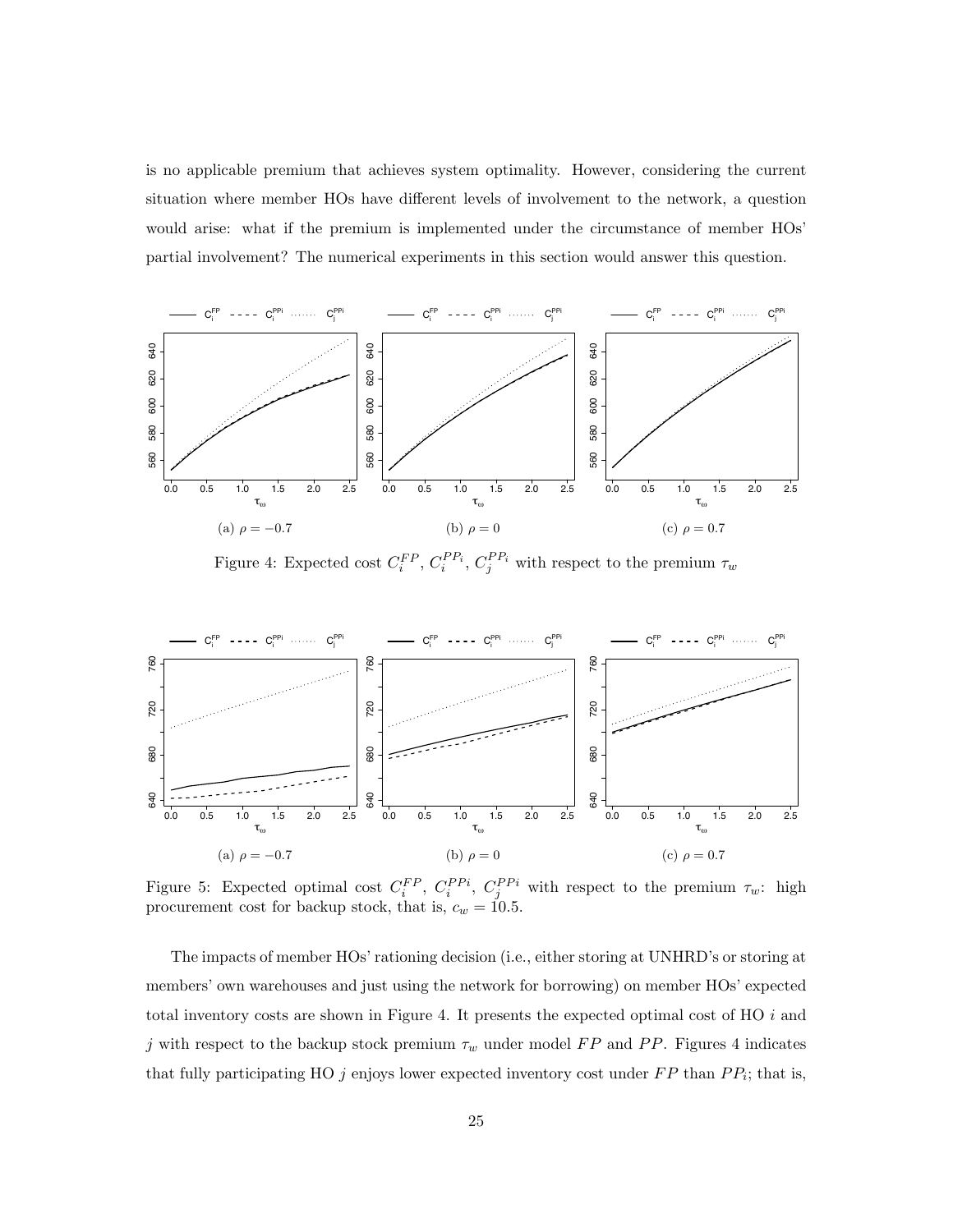is no applicable premium that achieves system optimality. However, considering the current situation where member HOs have different levels of involvement to the network, a question would arise: what if the premium is implemented under the circumstance of member HOs' partial involvement? The numerical experiments in this section would answer this question.



Figure 4: Expected cost  $C_i^{FP}$ ,  $C_i^{PP_i}$ ,  $C_j^{PP_i}$  with respect to the premium  $\tau_w$ 



Figure 5: Expected optimal cost  $C_i^{FP}$ ,  $C_i^{PPi}$ ,  $C_j^{PPi}$  with respect to the premium  $\tau_w$ : high procurement cost for backup stock, that is,  $c_w = 10.5$ .

The impacts of member HOs' rationing decision (i.e., either storing at UNHRD's or storing at members' own warehouses and just using the network for borrowing) on member HOs' expected total inventory costs are shown in Figure 4. It presents the expected optimal cost of HO *i* and *j* with respect to the backup stock premium  $\tau_w$  under model  $FP$  and  $PP$ . Figures 4 indicates that fully participating HO  $j$  enjoys lower expected inventory cost under  $FP$  than  $PP_i$ ; that is,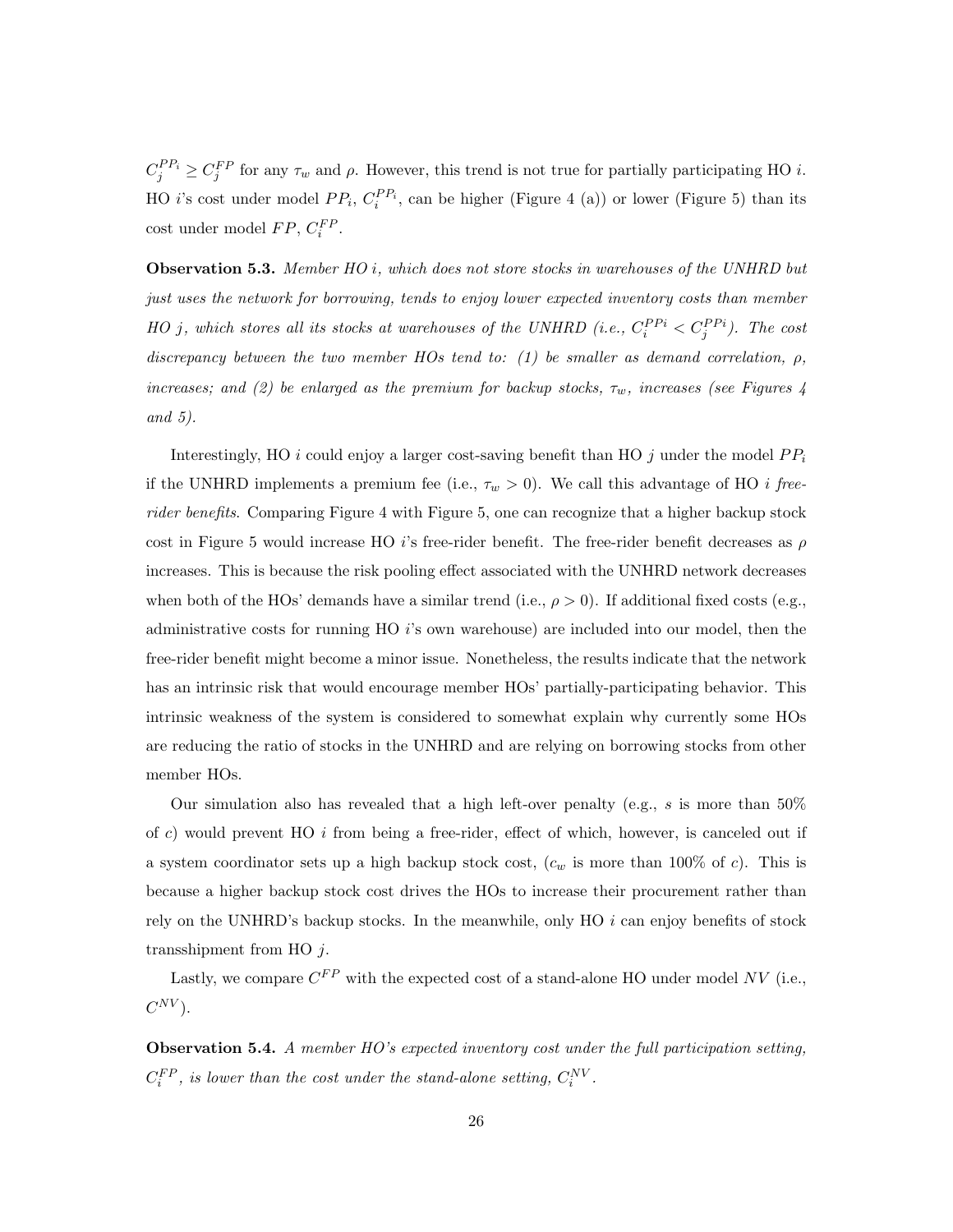$C_j^{PP_i} \geq C_j^{FP}$  for any  $\tau_w$  and  $\rho$ . However, this trend is not true for partially participating HO *i*. HO *i*'s cost under model  $PP_i$ ,  $C_i^{PP_i}$ , can be higher (Figure 4 (a)) or lower (Figure 5) than its  $\cosh$  under model  $FP$ ,  $C_i^{FP}$ .

Observation 5.3. *Member HO i, which does not store stocks in warehouses of the UNHRD but just uses the network for borrowing, tends to enjoy lower expected inventory costs than member HO j*, which stores all its stocks at warehouses of the UNHRD (i.e.,  $C_i^{PPi} < C_j^{PPi}$ ). The cost discrepancy between the two member HOs tend to: (1) be smaller as demand correlation,  $\rho$ , *increases; and (2) be enlarged as the premium for backup stocks,*  $\tau_w$ *, increases (see Figures 4 and 5).*

Interestingly, HO *i* could enjoy a larger cost-saving benefit than HO *j* under the model  $PP_i$ if the UNHRD implements a premium fee (i.e.,  $\tau_w > 0$ ). We call this advantage of HO *i* free*rider benefits*. Comparing Figure 4 with Figure 5, one can recognize that a higher backup stock cost in Figure 5 would increase HO *i*'s free-rider benefit. The free-rider benefit decreases as  $\rho$ increases. This is because the risk pooling effect associated with the UNHRD network decreases when both of the HOs' demands have a similar trend (i.e.,  $\rho > 0$ ). If additional fixed costs (e.g., administrative costs for running HO *i*'s own warehouse) are included into our model, then the free-rider benefit might become a minor issue. Nonetheless, the results indicate that the network has an intrinsic risk that would encourage member HOs' partially-participating behavior. This intrinsic weakness of the system is considered to somewhat explain why currently some HOs are reducing the ratio of stocks in the UNHRD and are relying on borrowing stocks from other member HOs.

Our simulation also has revealed that a high left-over penalty (e.g., *s* is more than 50% of *c*) would prevent HO *i* from being a free-rider, effect of which, however, is canceled out if a system coordinator sets up a high backup stock cost,  $(c_w$  is more than 100% of *c*). This is because a higher backup stock cost drives the HOs to increase their procurement rather than rely on the UNHRD's backup stocks. In the meanwhile, only HO *i* can enjoy benefits of stock transshipment from HO *j*.

Lastly, we compare  $C^{FP}$  with the expected cost of a stand-alone HO under model NV (i.e.,  $C^{NV}$ ).

Observation 5.4. *A member HO's expected inventory cost under the full participation setting,*  $C_i^{FP}$ , is lower than the cost under the stand-alone setting,  $C_i^{NV}$ .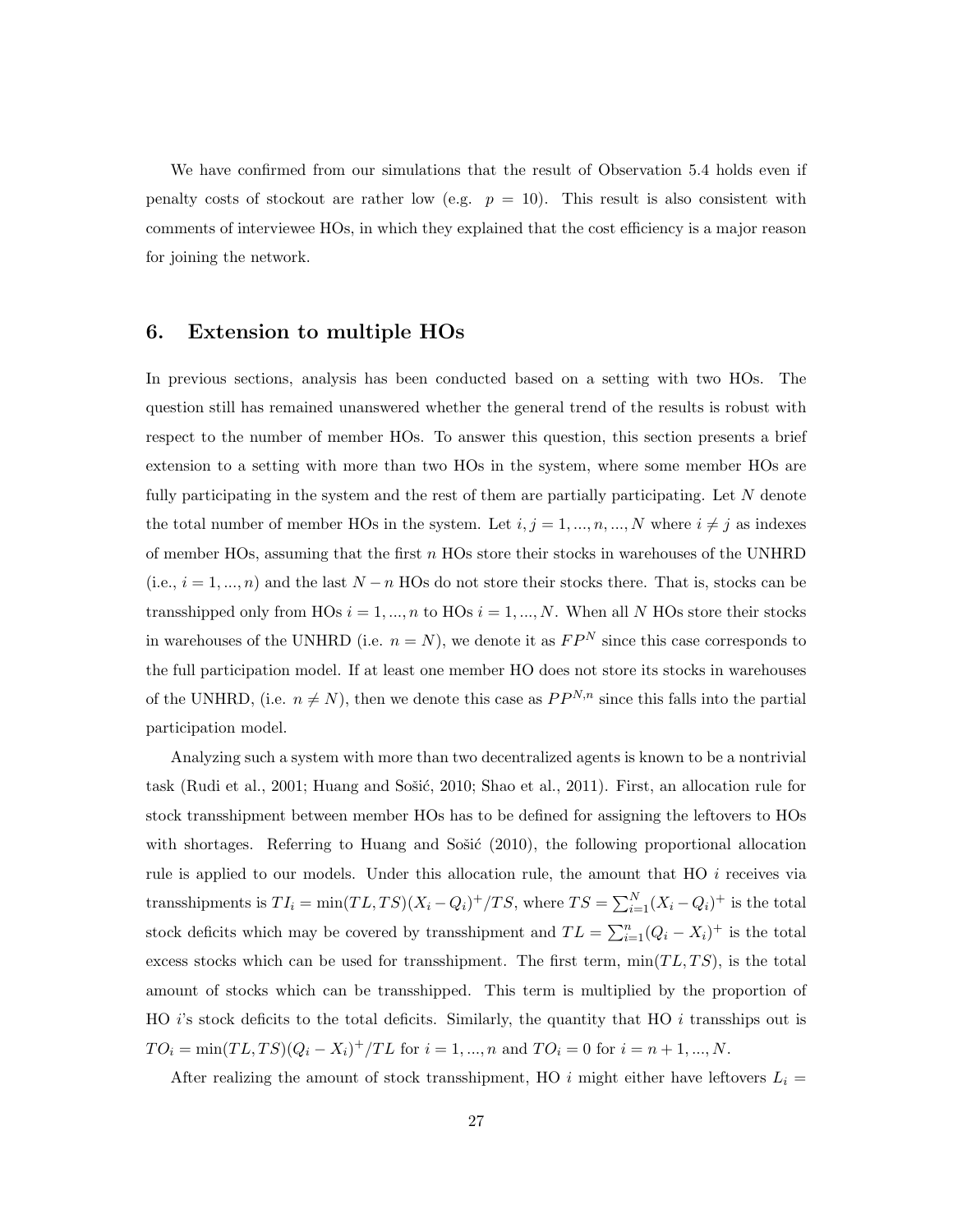We have confirmed from our simulations that the result of Observation 5.4 holds even if penalty costs of stockout are rather low (e.g.  $p = 10$ ). This result is also consistent with comments of interviewee HOs, in which they explained that the cost efficiency is a major reason for joining the network.

### 6. Extension to multiple HOs

In previous sections, analysis has been conducted based on a setting with two HOs. The question still has remained unanswered whether the general trend of the results is robust with respect to the number of member HOs. To answer this question, this section presents a brief extension to a setting with more than two HOs in the system, where some member HOs are fully participating in the system and the rest of them are partially participating. Let *N* denote the total number of member HOs in the system. Let  $i, j = 1, ..., n, ..., N$  where  $i \neq j$  as indexes of member HOs, assuming that the first *n* HOs store their stocks in warehouses of the UNHRD  $(i.e., i = 1, ..., n)$  and the last  $N - n$  HOs do not store their stocks there. That is, stocks can be transshipped only from HOs  $i = 1, ..., n$  to HOs  $i = 1, ..., N$ . When all *N* HOs store their stocks in warehouses of the UNHRD (i.e.  $n = N$ ), we denote it as  $FP<sup>N</sup>$  since this case corresponds to the full participation model. If at least one member HO does not store its stocks in warehouses of the UNHRD, (i.e.  $n \neq N$ ), then we denote this case as  $PP^{N,n}$  since this falls into the partial participation model.

Analyzing such a system with more than two decentralized agents is known to be a nontrivial task (Rudi et al., 2001; Huang and Sošić, 2010; Shao et al., 2011). First, an allocation rule for stock transshipment between member HOs has to be defined for assigning the leftovers to HOs with shortages. Referring to Huang and Sosic  $(2010)$ , the following proportional allocation rule is applied to our models. Under this allocation rule, the amount that HO *i* receives via transshipments is  $TI_i = \min(TL, TS)(X_i - Q_i)^+/TS$ , where  $TS = \sum_{i=1}^{N} (X_i - Q_i)^+$  is the total stock deficits which may be covered by transshipment and  $TL = \sum_{i=1}^{n} (Q_i - X_i)^+$  is the total excess stocks which can be used for transshipment. The first term,  $min(TL, TS)$ , is the total amount of stocks which can be transshipped. This term is multiplied by the proportion of HO  $i$ 's stock deficits to the total deficits. Similarly, the quantity that HO  $i$  transships out is  $TO_i = \min(TL, TS)(Q_i - X_i)^+/TL$  for  $i = 1, ..., n$  and  $TO_i = 0$  for  $i = n + 1, ..., N$ .

After realizing the amount of stock transshipment, HO  $i$  might either have leftovers  $L_i =$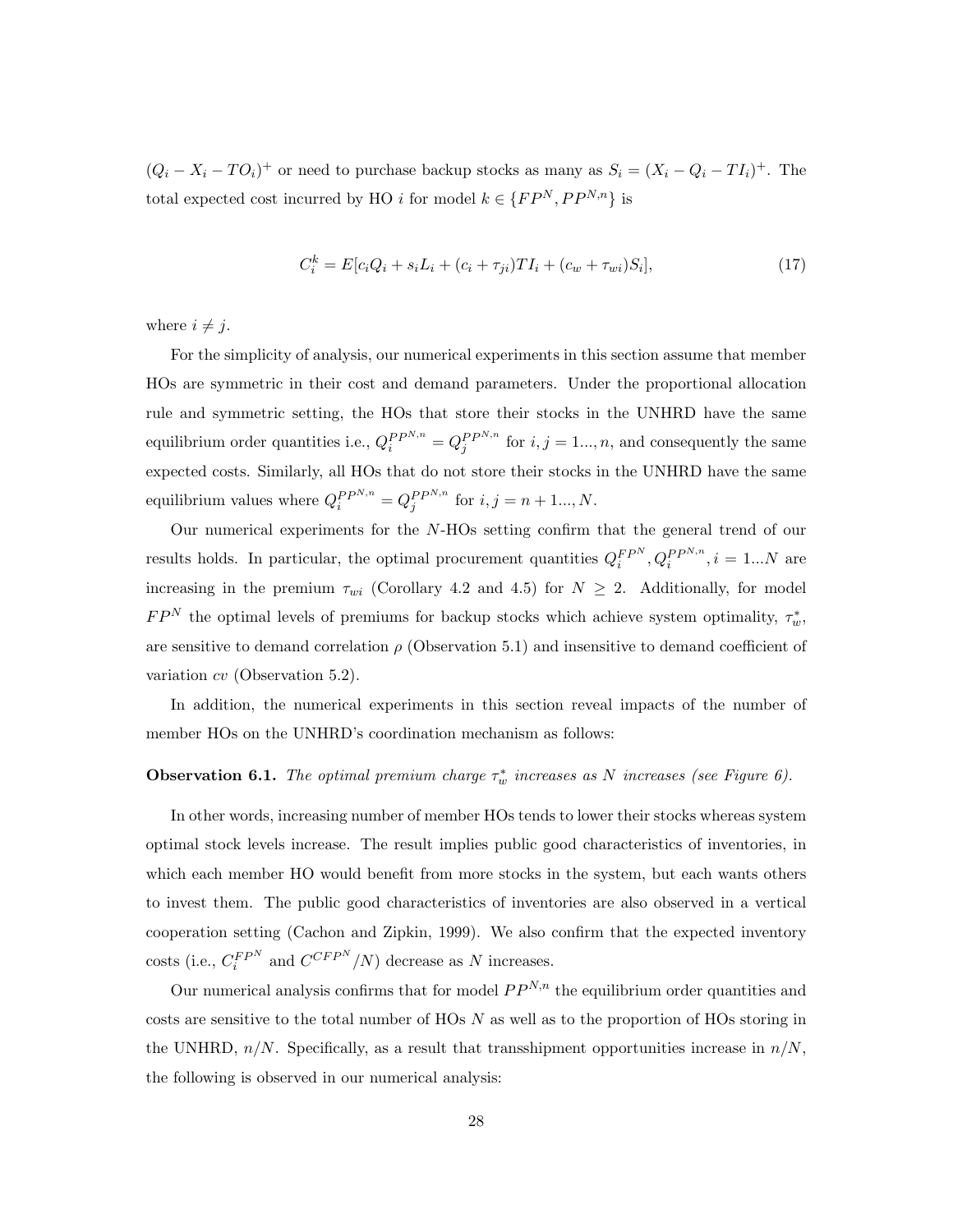$(Q_i - X_i - TO_i)^+$  or need to purchase backup stocks as many as  $S_i = (X_i - Q_i - TI_i)^+$ . The total expected cost incurred by HO *i* for model  $k \in \{FP^N, PP^{N,n}\}$  is

$$
C_i^k = E[c_i Q_i + s_i L_i + (c_i + \tau_{ji}) T I_i + (c_w + \tau_{wi}) S_i],
$$
\n(17)

where  $i \neq j$ .

For the simplicity of analysis, our numerical experiments in this section assume that member HOs are symmetric in their cost and demand parameters. Under the proportional allocation rule and symmetric setting, the HOs that store their stocks in the UNHRD have the same equilibrium order quantities i.e.,  $Q_i^{PP^{N,n}} = Q_j^{PP^{N,n}}$  for  $i, j = 1..., n$ , and consequently the same expected costs. Similarly, all HOs that do not store their stocks in the UNHRD have the same equilibrium values where  $Q_i^{PP^{N,n}} = Q_j^{PP^{N,n}}$  for  $i, j = n + 1..., N$ .

Our numerical experiments for the *N*-HOs setting confirm that the general trend of our results holds. In particular, the optimal procurement quantities  $Q_i^{FPN}, Q_i^{PPN,n}, i = 1...N$  are increasing in the premium  $\tau_{wi}$  (Corollary 4.2 and 4.5) for  $N \geq 2$ . Additionally, for model  $FP<sup>N</sup>$  the optimal levels of premiums for backup stocks which achieve system optimality,  $\tau_w^*$ , are sensitive to demand correlation  $\rho$  (Observation 5.1) and insensitive to demand coefficient of variation *cv* (Observation 5.2).

In addition, the numerical experiments in this section reveal impacts of the number of member HOs on the UNHRD's coordination mechanism as follows:

### **Observation 6.1.** The optimal premium charge  $\tau_w^*$  increases as N increases (see Figure 6).

In other words, increasing number of member HOs tends to lower their stocks whereas system optimal stock levels increase. The result implies public good characteristics of inventories, in which each member HO would benefit from more stocks in the system, but each wants others to invest them. The public good characteristics of inventories are also observed in a vertical cooperation setting (Cachon and Zipkin, 1999). We also confirm that the expected inventory costs (i.e.,  $C_i^{FPN}$  and  $C^{CFP N}/N$ ) decrease as *N* increases.

Our numerical analysis confirms that for model  $PP^{N,n}$  the equilibrium order quantities and costs are sensitive to the total number of HOs *N* as well as to the proportion of HOs storing in the UNHRD,  $n/N$ . Specifically, as a result that transshipment opportunities increase in  $n/N$ , the following is observed in our numerical analysis: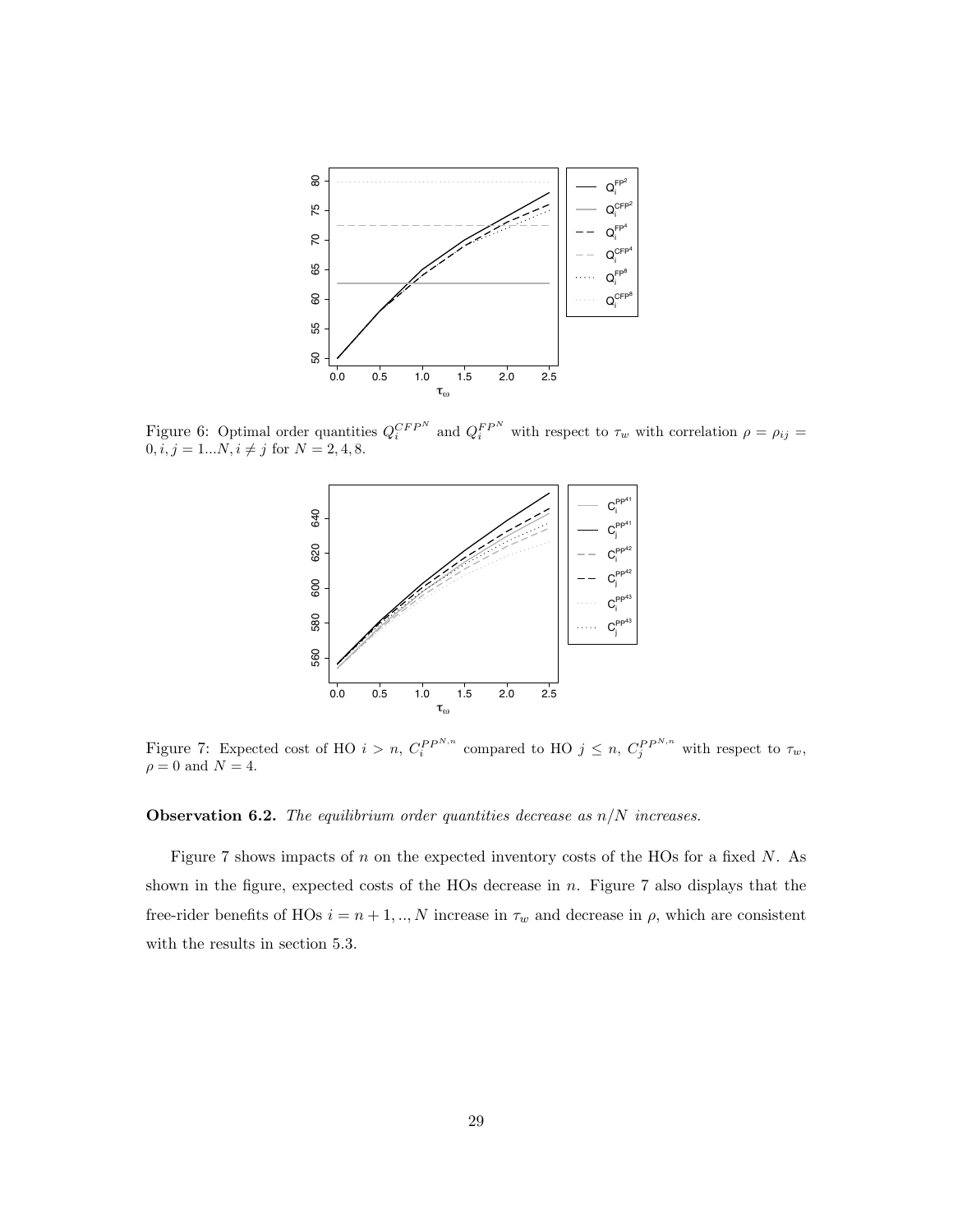

Figure 6: Optimal order quantities  $Q_i^{CFP^N}$  and  $Q_i^{FP^N}$  with respect to  $\tau_w$  with correlation  $\rho = \rho_{ij}$  $0, i, j = 1...N, i \neq j$  for  $N = 2, 4, 8$ .



Figure 7: Expected cost of HO  $i > n$ ,  $C_i^{PP^{N,n}}$  compared to HO  $j \leq n$ ,  $C_j^{PP^{N,n}}$  with respect to  $\tau_w$ ,  $\rho = 0$  and  $N = 4$ .

Observation 6.2. *The equilibrium order quantities decrease as n/N increases.*

Figure 7 shows impacts of *n* on the expected inventory costs of the HOs for a fixed *N*. As shown in the figure, expected costs of the HOs decrease in *n*. Figure 7 also displays that the free-rider benefits of HOs  $i = n + 1, \ldots, N$  increase in  $\tau_w$  and decrease in  $\rho$ , which are consistent with the results in section 5.3.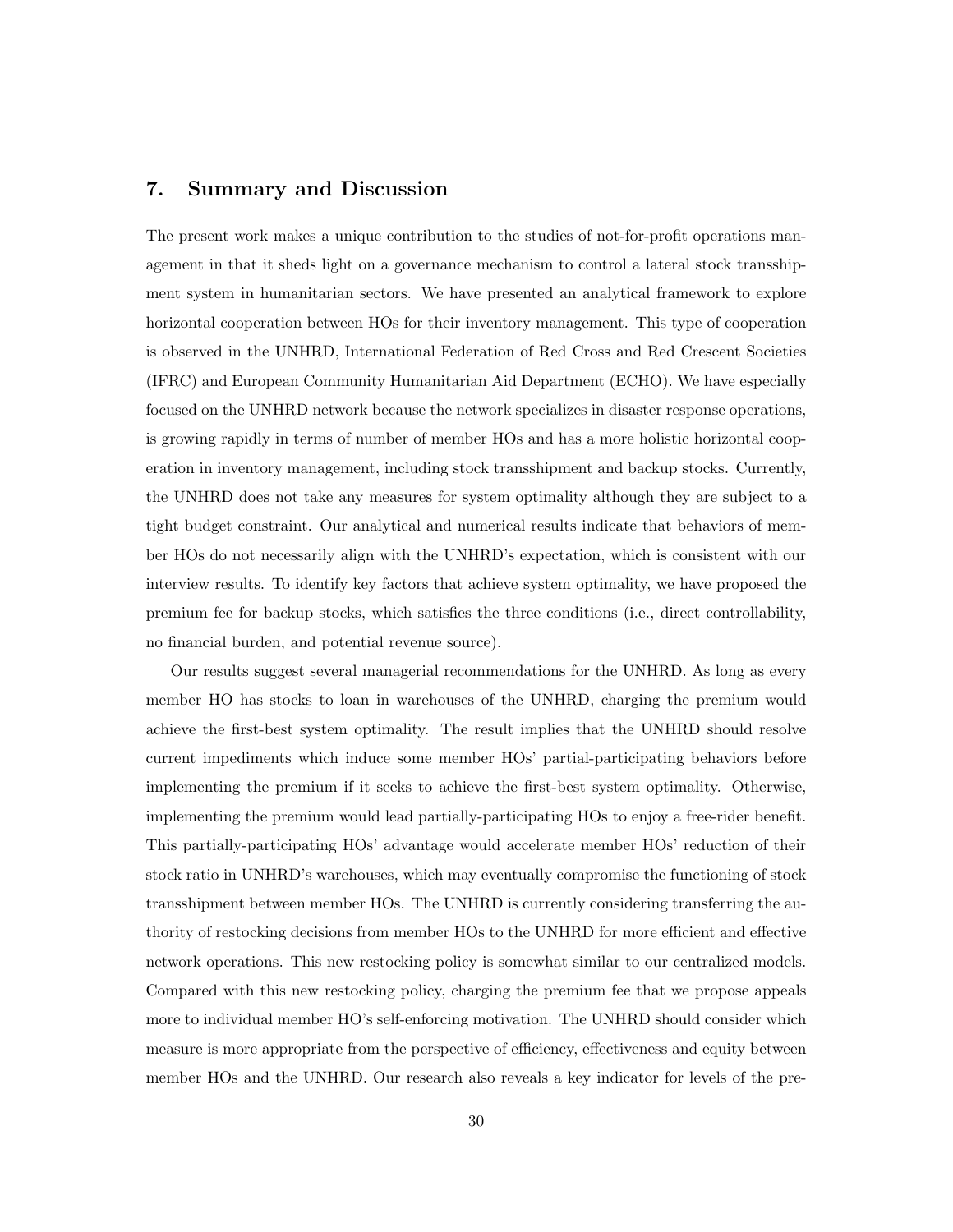# 7. Summary and Discussion

The present work makes a unique contribution to the studies of not-for-profit operations management in that it sheds light on a governance mechanism to control a lateral stock transshipment system in humanitarian sectors. We have presented an analytical framework to explore horizontal cooperation between HOs for their inventory management. This type of cooperation is observed in the UNHRD, International Federation of Red Cross and Red Crescent Societies (IFRC) and European Community Humanitarian Aid Department (ECHO). We have especially focused on the UNHRD network because the network specializes in disaster response operations, is growing rapidly in terms of number of member HOs and has a more holistic horizontal cooperation in inventory management, including stock transshipment and backup stocks. Currently, the UNHRD does not take any measures for system optimality although they are subject to a tight budget constraint. Our analytical and numerical results indicate that behaviors of member HOs do not necessarily align with the UNHRD's expectation, which is consistent with our interview results. To identify key factors that achieve system optimality, we have proposed the premium fee for backup stocks, which satisfies the three conditions (i.e., direct controllability, no financial burden, and potential revenue source).

Our results suggest several managerial recommendations for the UNHRD. As long as every member HO has stocks to loan in warehouses of the UNHRD, charging the premium would achieve the first-best system optimality. The result implies that the UNHRD should resolve current impediments which induce some member HOs' partial-participating behaviors before implementing the premium if it seeks to achieve the first-best system optimality. Otherwise, implementing the premium would lead partially-participating HOs to enjoy a free-rider benefit. This partially-participating HOs' advantage would accelerate member HOs' reduction of their stock ratio in UNHRD's warehouses, which may eventually compromise the functioning of stock transshipment between member HOs. The UNHRD is currently considering transferring the authority of restocking decisions from member HOs to the UNHRD for more efficient and effective network operations. This new restocking policy is somewhat similar to our centralized models. Compared with this new restocking policy, charging the premium fee that we propose appeals more to individual member HO's self-enforcing motivation. The UNHRD should consider which measure is more appropriate from the perspective of efficiency, effectiveness and equity between member HOs and the UNHRD. Our research also reveals a key indicator for levels of the pre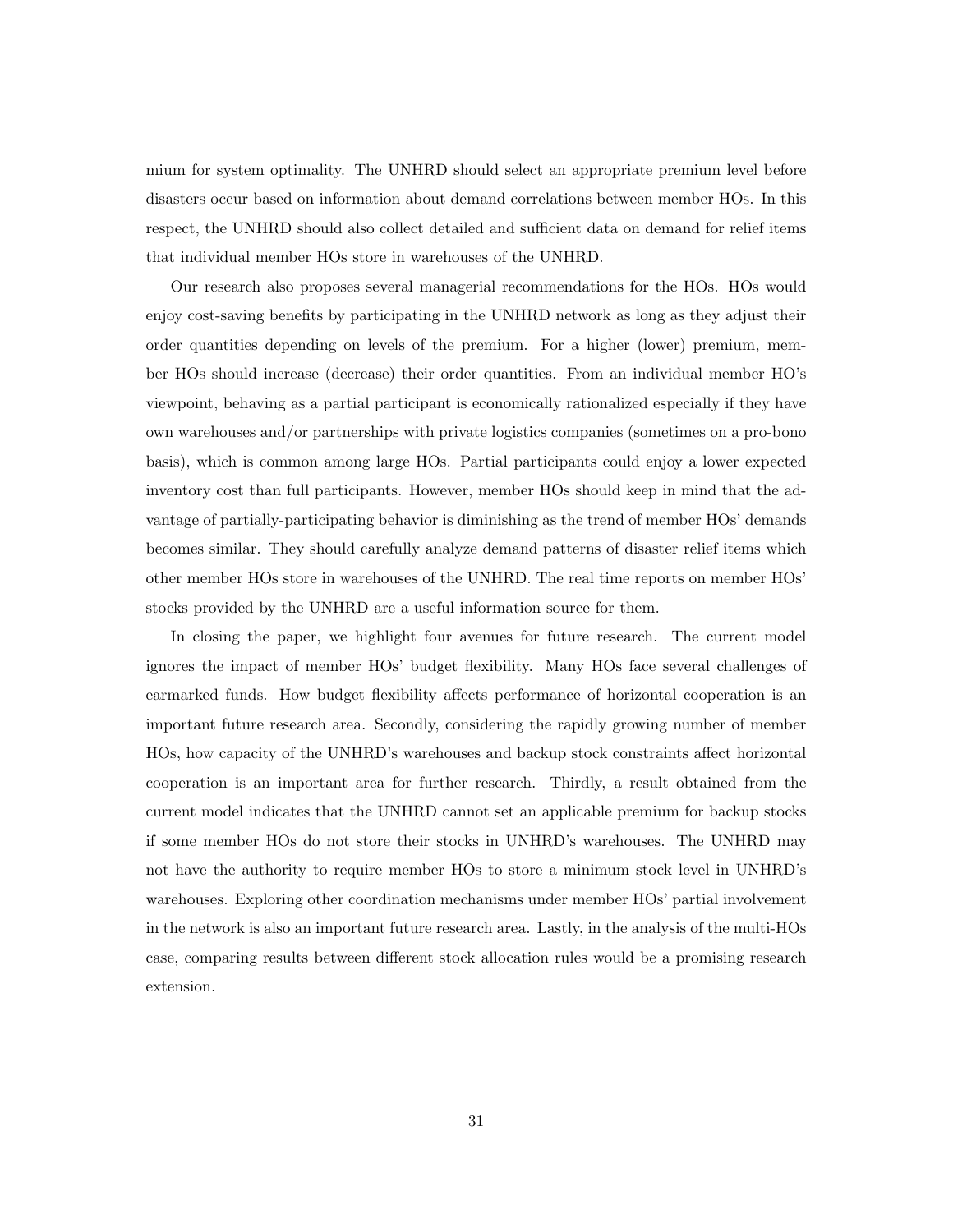mium for system optimality. The UNHRD should select an appropriate premium level before disasters occur based on information about demand correlations between member HOs. In this respect, the UNHRD should also collect detailed and sufficient data on demand for relief items that individual member HOs store in warehouses of the UNHRD.

Our research also proposes several managerial recommendations for the HOs. HOs would enjoy cost-saving benefits by participating in the UNHRD network as long as they adjust their order quantities depending on levels of the premium. For a higher (lower) premium, member HOs should increase (decrease) their order quantities. From an individual member HO's viewpoint, behaving as a partial participant is economically rationalized especially if they have own warehouses and/or partnerships with private logistics companies (sometimes on a pro-bono basis), which is common among large HOs. Partial participants could enjoy a lower expected inventory cost than full participants. However, member HOs should keep in mind that the advantage of partially-participating behavior is diminishing as the trend of member HOs' demands becomes similar. They should carefully analyze demand patterns of disaster relief items which other member HOs store in warehouses of the UNHRD. The real time reports on member HOs' stocks provided by the UNHRD are a useful information source for them.

In closing the paper, we highlight four avenues for future research. The current model ignores the impact of member HOs' budget flexibility. Many HOs face several challenges of earmarked funds. How budget flexibility affects performance of horizontal cooperation is an important future research area. Secondly, considering the rapidly growing number of member HOs, how capacity of the UNHRD's warehouses and backup stock constraints affect horizontal cooperation is an important area for further research. Thirdly, a result obtained from the current model indicates that the UNHRD cannot set an applicable premium for backup stocks if some member HOs do not store their stocks in UNHRD's warehouses. The UNHRD may not have the authority to require member HOs to store a minimum stock level in UNHRD's warehouses. Exploring other coordination mechanisms under member HOs' partial involvement in the network is also an important future research area. Lastly, in the analysis of the multi-HOs case, comparing results between different stock allocation rules would be a promising research extension.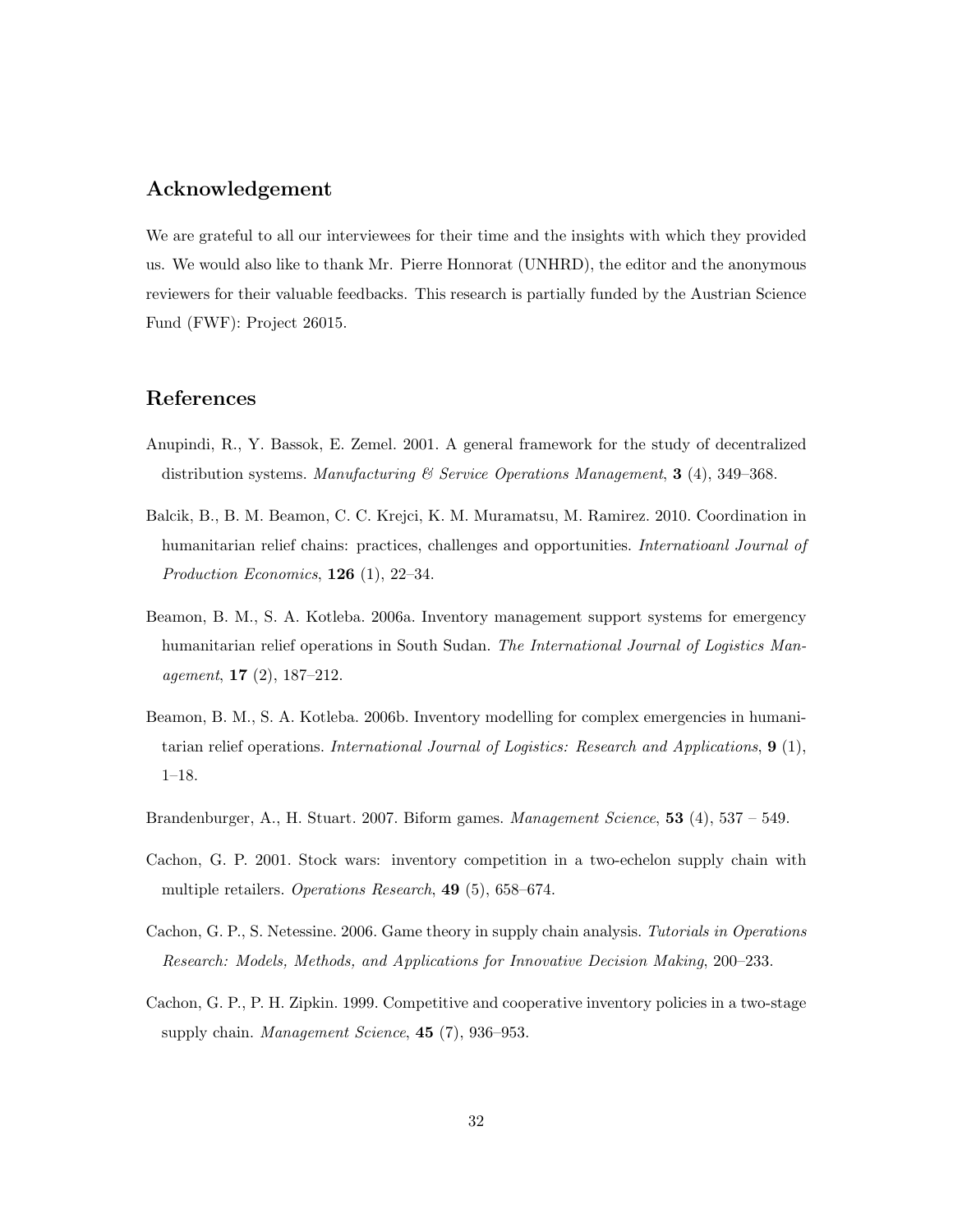# Acknowledgement

We are grateful to all our interviewees for their time and the insights with which they provided us. We would also like to thank Mr. Pierre Honnorat (UNHRD), the editor and the anonymous reviewers for their valuable feedbacks. This research is partially funded by the Austrian Science Fund (FWF): Project 26015.

# References

- Anupindi, R., Y. Bassok, E. Zemel. 2001. A general framework for the study of decentralized distribution systems. *Manufacturing & Service Operations Management*, 3 (4), 349–368.
- Balcik, B., B. M. Beamon, C. C. Krejci, K. M. Muramatsu, M. Ramirez. 2010. Coordination in humanitarian relief chains: practices, challenges and opportunities. *Internatioanl Journal of Production Economics*, 126 (1), 22–34.
- Beamon, B. M., S. A. Kotleba. 2006a. Inventory management support systems for emergency humanitarian relief operations in South Sudan. *The International Journal of Logistics Management*, 17 (2), 187–212.
- Beamon, B. M., S. A. Kotleba. 2006b. Inventory modelling for complex emergencies in humanitarian relief operations. *International Journal of Logistics: Research and Applications*, 9 (1), 1–18.
- Brandenburger, A., H. Stuart. 2007. Biform games. *Management Science*, 53 (4), 537 549.
- Cachon, G. P. 2001. Stock wars: inventory competition in a two-echelon supply chain with multiple retailers. *Operations Research*, 49 (5), 658–674.
- Cachon, G. P., S. Netessine. 2006. Game theory in supply chain analysis. *Tutorials in Operations Research: Models, Methods, and Applications for Innovative Decision Making*, 200–233.
- Cachon, G. P., P. H. Zipkin. 1999. Competitive and cooperative inventory policies in a two-stage supply chain. *Management Science*, 45 (7), 936–953.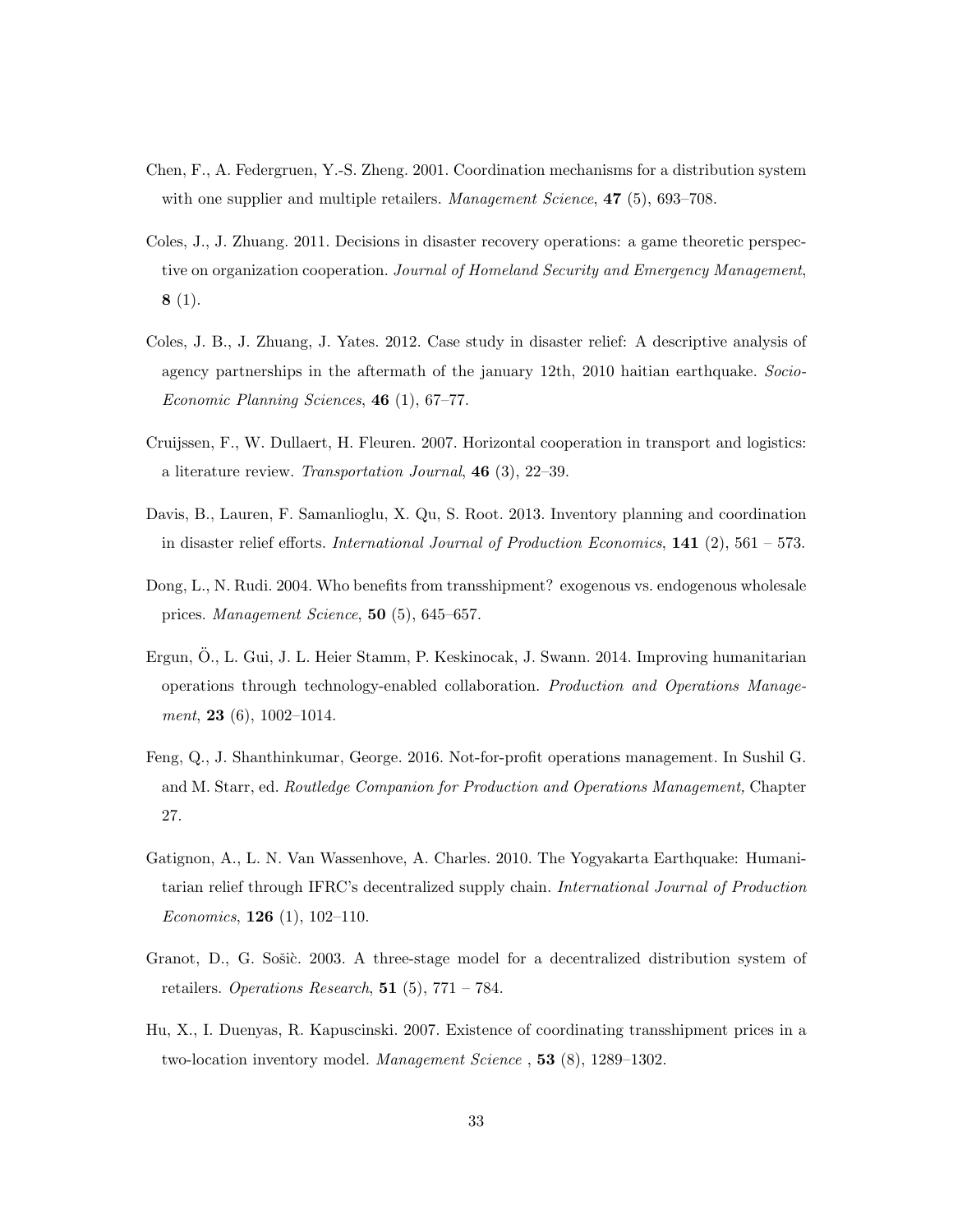- Chen, F., A. Federgruen, Y.-S. Zheng. 2001. Coordination mechanisms for a distribution system with one supplier and multiple retailers. *Management Science*, 47 (5), 693–708.
- Coles, J., J. Zhuang. 2011. Decisions in disaster recovery operations: a game theoretic perspective on organization cooperation. *Journal of Homeland Security and Emergency Management*,  $8(1).$
- Coles, J. B., J. Zhuang, J. Yates. 2012. Case study in disaster relief: A descriptive analysis of agency partnerships in the aftermath of the january 12th, 2010 haitian earthquake. *Socio-Economic Planning Sciences*, 46 (1), 67–77.
- Cruijssen, F., W. Dullaert, H. Fleuren. 2007. Horizontal cooperation in transport and logistics: a literature review. *Transportation Journal*, 46 (3), 22–39.
- Davis, B., Lauren, F. Samanlioglu, X. Qu, S. Root. 2013. Inventory planning and coordination in disaster relief efforts. *International Journal of Production Economics*, 141 (2), 561 – 573.
- Dong, L., N. Rudi. 2004. Who benefits from transshipment? exogenous vs. endogenous wholesale prices. *Management Science*, 50 (5), 645–657.
- Ergun, Ö., L. Gui, J. L. Heier Stamm, P. Keskinocak, J. Swann. 2014. Improving humanitarian operations through technology-enabled collaboration. *Production and Operations Management*, 23 (6), 1002–1014.
- Feng, Q., J. Shanthinkumar, George. 2016. Not-for-profit operations management. In Sushil G. and M. Starr, ed. *Routledge Companion for Production and Operations Management,* Chapter 27.
- Gatignon, A., L. N. Van Wassenhove, A. Charles. 2010. The Yogyakarta Earthquake: Humanitarian relief through IFRC's decentralized supply chain. *International Journal of Production Economics*, 126 (1), 102–110.
- Granot, D., G. Sošic. 2003. A three-stage model for a decentralized distribution system of retailers. *Operations Research*, 51 (5), 771 – 784.
- Hu, X., I. Duenyas, R. Kapuscinski. 2007. Existence of coordinating transshipment prices in a two-location inventory model. *Management Science* , 53 (8), 1289–1302.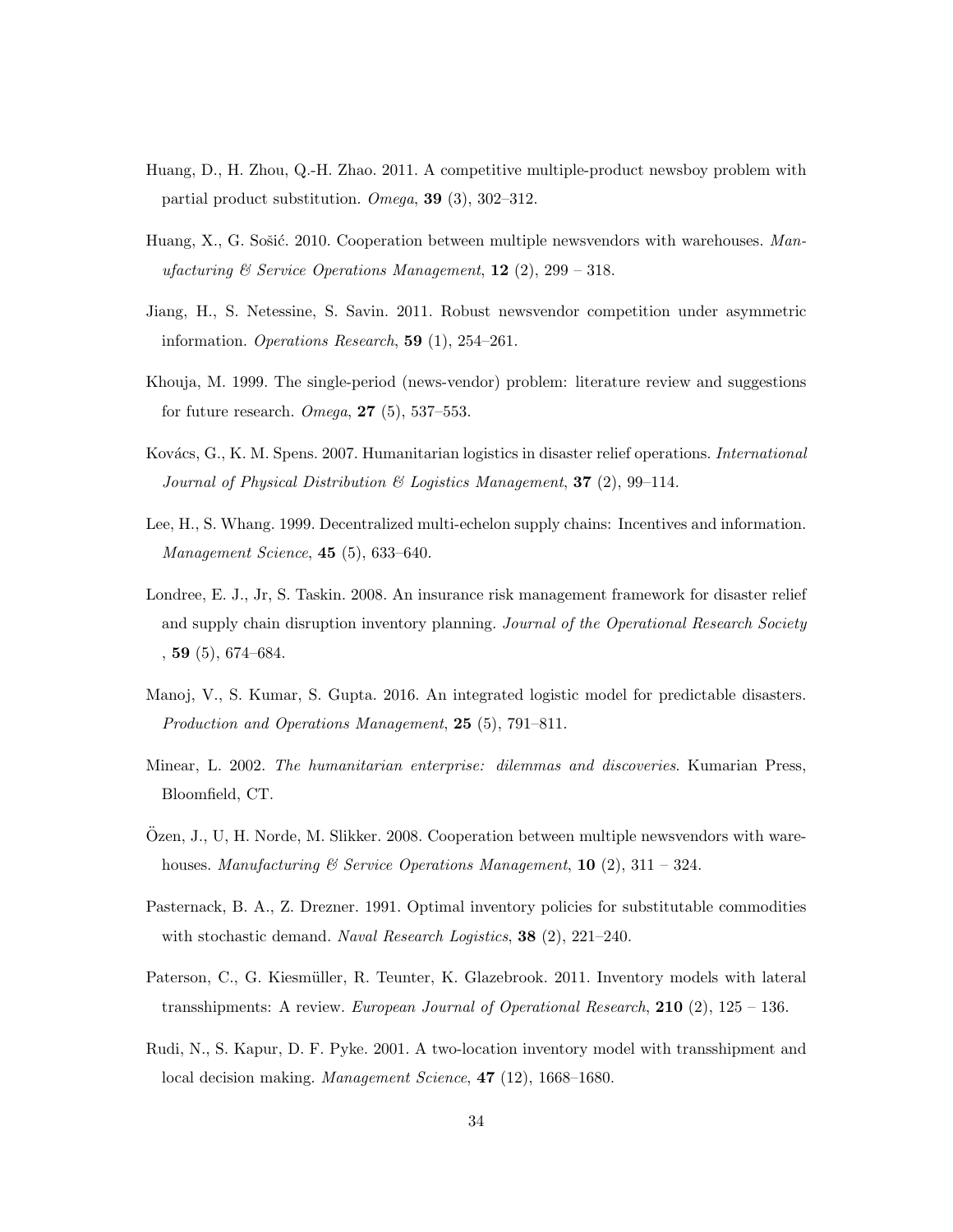- Huang, D., H. Zhou, Q.-H. Zhao. 2011. A competitive multiple-product newsboy problem with partial product substitution. *Omega*, 39 (3), 302–312.
- Huang, X., G. Sošić. 2010. Cooperation between multiple newsvendors with warehouses. Man*ufacturing & Service Operations Management*, 12 (2), 299 – 318.
- Jiang, H., S. Netessine, S. Savin. 2011. Robust newsvendor competition under asymmetric information. *Operations Research*, 59 (1), 254–261.
- Khouja, M. 1999. The single-period (news-vendor) problem: literature review and suggestions for future research. *Omega*, 27 (5), 537–553.
- Kov´acs, G., K. M. Spens. 2007. Humanitarian logistics in disaster relief operations. *International Journal of Physical Distribution & Logistics Management*, 37 (2), 99–114.
- Lee, H., S. Whang. 1999. Decentralized multi-echelon supply chains: Incentives and information. *Management Science*, 45 (5), 633–640.
- Londree, E. J., Jr, S. Taskin. 2008. An insurance risk management framework for disaster relief and supply chain disruption inventory planning. *Journal of the Operational Research Society*  $, 59$   $(5)$ , 674–684.
- Manoj, V., S. Kumar, S. Gupta. 2016. An integrated logistic model for predictable disasters. *Production and Operations Management*, 25 (5), 791–811.
- Minear, L. 2002. *The humanitarian enterprise: dilemmas and discoveries*. Kumarian Press, Bloomfield, CT.
- Özen, J., U, H. Norde, M. Slikker. 2008. Cooperation between multiple newsvendors with warehouses. *Manufacturing & Service Operations Management*, 10 (2), 311 – 324.
- Pasternack, B. A., Z. Drezner. 1991. Optimal inventory policies for substitutable commodities with stochastic demand. *Naval Research Logistics*, 38 (2), 221–240.
- Paterson, C., G. Kiesmüller, R. Teunter, K. Glazebrook. 2011. Inventory models with lateral transshipments: A review. *European Journal of Operational Research*, 210 (2), 125 – 136.
- Rudi, N., S. Kapur, D. F. Pyke. 2001. A two-location inventory model with transshipment and local decision making. *Management Science*, 47 (12), 1668–1680.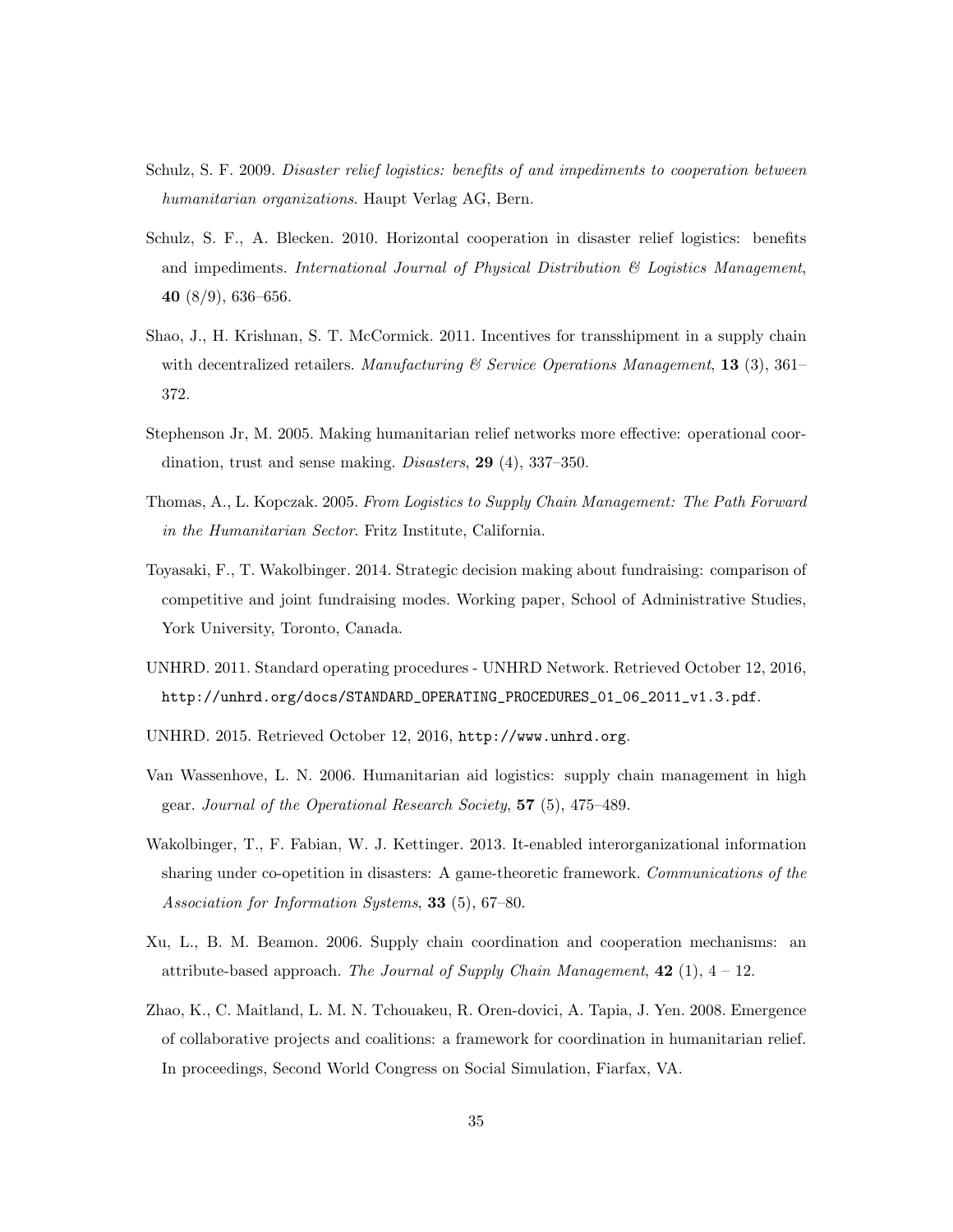- Schulz, S. F. 2009. *Disaster relief logistics: benefits of and impediments to cooperation between humanitarian organizations*. Haupt Verlag AG, Bern.
- Schulz, S. F., A. Blecken. 2010. Horizontal cooperation in disaster relief logistics: benefits and impediments. *International Journal of Physical Distribution & Logistics Management*, 40  $(8/9)$ , 636–656.
- Shao, J., H. Krishnan, S. T. McCormick. 2011. Incentives for transshipment in a supply chain with decentralized retailers. *Manufacturing & Service Operations Management*, 13 (3), 361– 372.
- Stephenson Jr, M. 2005. Making humanitarian relief networks more effective: operational coordination, trust and sense making. *Disasters*, 29 (4), 337–350.
- Thomas, A., L. Kopczak. 2005. *From Logistics to Supply Chain Management: The Path Forward in the Humanitarian Sector*. Fritz Institute, California.
- Toyasaki, F., T. Wakolbinger. 2014. Strategic decision making about fundraising: comparison of competitive and joint fundraising modes. Working paper, School of Administrative Studies, York University, Toronto, Canada.
- UNHRD. 2011. Standard operating procedures UNHRD Network. Retrieved October 12, 2016, http://unhrd.org/docs/STANDARD\_OPERATING\_PROCEDURES\_01\_06\_2011\_v1.3.pdf.
- UNHRD. 2015. Retrieved October 12, 2016, http://www.unhrd.org.
- Van Wassenhove, L. N. 2006. Humanitarian aid logistics: supply chain management in high gear. *Journal of the Operational Research Society*, 57 (5), 475–489.
- Wakolbinger, T., F. Fabian, W. J. Kettinger. 2013. It-enabled interorganizational information sharing under co-opetition in disasters: A game-theoretic framework. *Communications of the Association for Information Systems*, 33 (5), 67–80.
- Xu, L., B. M. Beamon. 2006. Supply chain coordination and cooperation mechanisms: an attribute-based approach. *The Journal of Supply Chain Management*, 42 (1), 4 – 12.
- Zhao, K., C. Maitland, L. M. N. Tchouakeu, R. Oren-dovici, A. Tapia, J. Yen. 2008. Emergence of collaborative projects and coalitions: a framework for coordination in humanitarian relief. In proceedings, Second World Congress on Social Simulation, Fiarfax, VA.